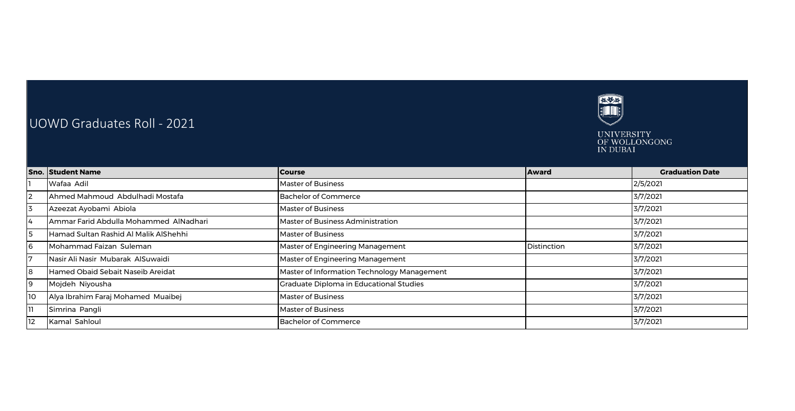

## UOWD Graduates Roll - 2021



|                   | <b>Sno. Student Name</b>               | <b>Course</b>                               | <b>Award</b> | <b>Graduation Date</b> |
|-------------------|----------------------------------------|---------------------------------------------|--------------|------------------------|
|                   | Wafaa Adil                             | Master of Business                          |              | 2/5/2021               |
| 12                | Ahmed Mahmoud Abdulhadi Mostafa        | <b>Bachelor of Commerce</b>                 |              | 3/7/2021               |
| 3                 | Azeezat Ayobami Abiola                 | <b>Master of Business</b>                   |              | 3/7/2021               |
| 14                | Ammar Farid Abdulla Mohammed AlNadhari | Master of Business Administration           |              | 3/7/2021               |
| 5                 | Hamad Sultan Rashid Al Malik AlShehhi  | <b>Master of Business</b>                   |              | 3/7/2021               |
| 6                 | Mohammad Faizan Suleman                | Master of Engineering Management            | Distinction  | 3/7/2021               |
|                   | Nasir Ali Nasir Mubarak AlSuwaidi      | Master of Engineering Management            |              | 3/7/2021               |
| 8                 | Hamed Obaid Sebait Naseib Areidat      | Master of Information Technology Management |              | 3/7/2021               |
| 19                | Mojdeh Niyousha                        | Graduate Diploma in Educational Studies     |              | 3/7/2021               |
| 10                | Alya Ibrahim Faraj Mohamed Muaibej     | <b>Master of Business</b>                   |              | 3/7/2021               |
|                   | Simrina Pangli                         | <b>Master of Business</b>                   |              | 3/7/2021               |
| $12 \overline{ }$ | Kamal Sahloul                          | Bachelor of Commerce                        |              | 3/7/2021               |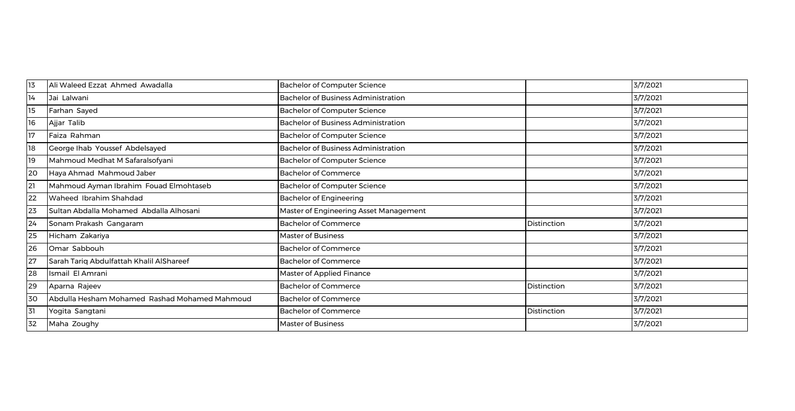| 13 | Ali Waleed Ezzat Ahmed Awadalla               | Bachelor of Computer Science               |             | 3/7/2021 |
|----|-----------------------------------------------|--------------------------------------------|-------------|----------|
| 14 | Jai Lalwani                                   | <b>Bachelor of Business Administration</b> |             | 3/7/2021 |
| 15 | Farhan Sayed                                  | <b>Bachelor of Computer Science</b>        |             | 3/7/2021 |
| 16 | Ajjar Talib                                   | Bachelor of Business Administration        |             | 3/7/2021 |
| 17 | Faiza Rahman                                  | <b>Bachelor of Computer Science</b>        |             | 3/7/2021 |
| 18 | George Ihab Youssef Abdelsayed                | Bachelor of Business Administration        |             | 3/7/2021 |
| 19 | Mahmoud Medhat M Safaralsofyani               | <b>Bachelor of Computer Science</b>        |             | 3/7/2021 |
| 20 | Haya Ahmad Mahmoud Jaber                      | <b>Bachelor of Commerce</b>                |             | 3/7/2021 |
| 21 | Mahmoud Ayman Ibrahim Fouad Elmohtaseb        | Bachelor of Computer Science               |             | 3/7/2021 |
| 22 | Waheed Ibrahim Shahdad                        | <b>Bachelor of Engineering</b>             |             | 3/7/2021 |
| 23 | Sultan Abdalla Mohamed Abdalla Alhosani       | Master of Engineering Asset Management     |             | 3/7/2021 |
| 24 | Sonam Prakash Gangaram                        | <b>Bachelor of Commerce</b>                | Distinction | 3/7/2021 |
| 25 | Hicham Zakariya                               | <b>Master of Business</b>                  |             | 3/7/2021 |
| 26 | Omar Sabbouh                                  | <b>Bachelor of Commerce</b>                |             | 3/7/2021 |
| 27 | Sarah Tariq Abdulfattah Khalil AlShareef      | <b>Bachelor of Commerce</b>                |             | 3/7/2021 |
| 28 | Ismail El Amrani                              | Master of Applied Finance                  |             | 3/7/2021 |
| 29 | Aparna Rajeev                                 | <b>Bachelor of Commerce</b>                | Distinction | 3/7/2021 |
| 30 | Abdulla Hesham Mohamed Rashad Mohamed Mahmoud | <b>Bachelor of Commerce</b>                |             | 3/7/2021 |
| 31 | Yogita Sangtani                               | <b>Bachelor of Commerce</b>                | Distinction | 3/7/2021 |
| 32 | Maha Zoughy                                   | <b>Master of Business</b>                  |             | 3/7/2021 |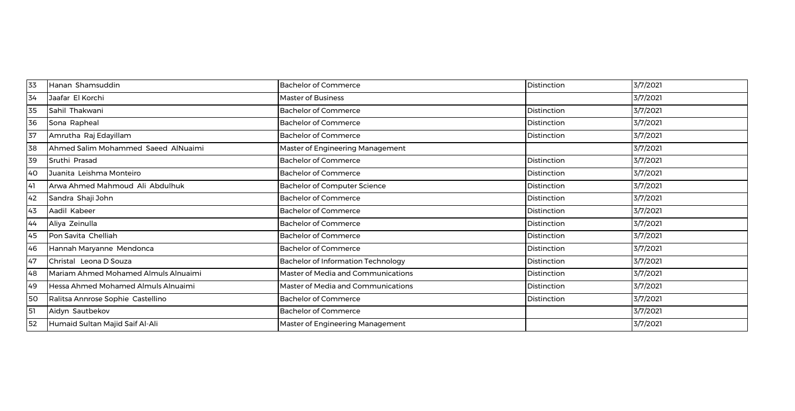| 33 | Hanan Shamsuddin                     | <b>Bachelor of Commerce</b>               | Distinction        | 3/7/2021 |
|----|--------------------------------------|-------------------------------------------|--------------------|----------|
| 34 | Jaafar El Korchi                     | <b>Master of Business</b>                 |                    | 3/7/2021 |
| 35 | Sahil Thakwani                       | <b>Bachelor of Commerce</b>               | Distinction        | 3/7/2021 |
| 36 | Sona Rapheal                         | <b>Bachelor of Commerce</b>               | Distinction        | 3/7/2021 |
| 37 | Amrutha Raj Edayillam                | <b>Bachelor of Commerce</b>               | Distinction        | 3/7/2021 |
| 38 | Ahmed Salim Mohammed Saeed AlNuaimi  | Master of Engineering Management          |                    | 3/7/2021 |
| 39 | Sruthi Prasad                        | <b>Bachelor of Commerce</b>               | <b>Distinction</b> | 3/7/2021 |
| 40 | Juanita Leishma Monteiro             | <b>Bachelor of Commerce</b>               | Distinction        | 3/7/2021 |
| 41 | Arwa Ahmed Mahmoud Ali Abdulhuk      | <b>Bachelor of Computer Science</b>       | Distinction        | 3/7/2021 |
| 42 | Sandra Shaji John                    | <b>Bachelor of Commerce</b>               | Distinction        | 3/7/2021 |
| 43 | Aadil Kabeer                         | <b>Bachelor of Commerce</b>               | Distinction        | 3/7/2021 |
| 44 | Aliya Zeinulla                       | <b>Bachelor of Commerce</b>               | Distinction        | 3/7/2021 |
| 45 | Pon Savita Chelliah                  | <b>Bachelor of Commerce</b>               | Distinction        | 3/7/2021 |
| 46 | Hannah Maryanne Mendonca             | <b>Bachelor of Commerce</b>               | Distinction        | 3/7/2021 |
| 47 | Christal Leona D Souza               | <b>Bachelor of Information Technology</b> | Distinction        | 3/7/2021 |
| 48 | Mariam Ahmed Mohamed Almuls Alnuaimi | Master of Media and Communications        | Distinction        | 3/7/2021 |
| 49 | Hessa Ahmed Mohamed Almuls Alnuaimi  | Master of Media and Communications        | Distinction        | 3/7/2021 |
| 50 | Ralitsa Annrose Sophie Castellino    | <b>Bachelor of Commerce</b>               | Distinction        | 3/7/2021 |
| 51 | Aidyn Sautbekov                      | <b>Bachelor of Commerce</b>               |                    | 3/7/2021 |
| 52 | Humaid Sultan Majid Saif Al-Ali      | Master of Engineering Management          |                    | 3/7/2021 |
|    |                                      |                                           |                    |          |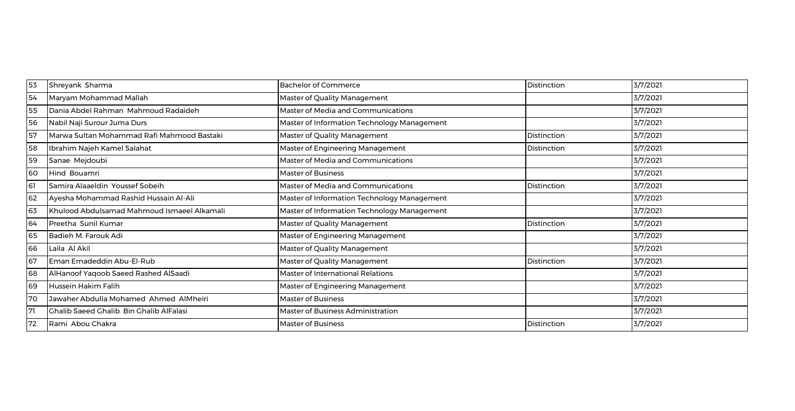| 53 | Shreyank Sharma                                | <b>Bachelor of Commerce</b>                 | Distinction        | 3/7/2021 |
|----|------------------------------------------------|---------------------------------------------|--------------------|----------|
| 54 | Maryam Mohammad Mallah                         | Master of Quality Management                |                    | 3/7/2021 |
| 55 | Dania Abdel Rahman Mahmoud Radaideh            | Master of Media and Communications          |                    | 3/7/2021 |
| 56 | Nabil Naji Surour Juma Durs                    | Master of Information Technology Management |                    | 3/7/2021 |
| 57 | Marwa Sultan Mohammad Rafi Mahmood Bastaki     | Master of Quality Management                | Distinction        | 3/7/2021 |
| 58 | Ibrahim Najeh Kamel Salahat                    | Master of Engineering Management            | Distinction        | 3/7/2021 |
| 59 | Sanae Mejdoubi                                 | Master of Media and Communications          |                    | 3/7/2021 |
| 60 | Hind Bouamri                                   | <b>Master of Business</b>                   |                    | 3/7/2021 |
| 61 | Samira Alaaeldin Youssef Sobeih                | Master of Media and Communications          | <b>Distinction</b> | 3/7/2021 |
| 62 | Ayesha Mohammad Rashid Hussain Al-Ali          | Master of Information Technology Management |                    | 3/7/2021 |
| 63 | Khulood Abdulsamad Mahmoud Ismaeel Alkamali    | Master of Information Technology Management |                    | 3/7/2021 |
| 64 | Preetha Sunil Kumar                            | Master of Quality Management                | Distinction        | 3/7/2021 |
| 65 | Badieh M. Farouk Adi                           | Master of Engineering Management            |                    | 3/7/2021 |
| 66 | Laila Al Akil                                  | Master of Quality Management                |                    | 3/7/2021 |
| 67 | Eman Emadeddin Abu-El-Rub                      | Master of Quality Management                | Distinction        | 3/7/2021 |
| 68 | AlHanoof Yaqoob Saeed Rashed AlSaadi           | Master of International Relations           |                    | 3/7/2021 |
| 69 | Hussein Hakim Falih                            | Master of Engineering Management            |                    | 3/7/2021 |
| 70 | Jawaher Abdulla Mohamed Ahmed AlMheiri         | Master of Business                          |                    | 3/7/2021 |
| 71 | <b>Chalib Saeed Chalib Bin Chalib AlFalasi</b> | Master of Business Administration           |                    | 3/7/2021 |
| 72 | Rami Abou Chakra                               | <b>Master of Business</b>                   | Distinction        | 3/7/2021 |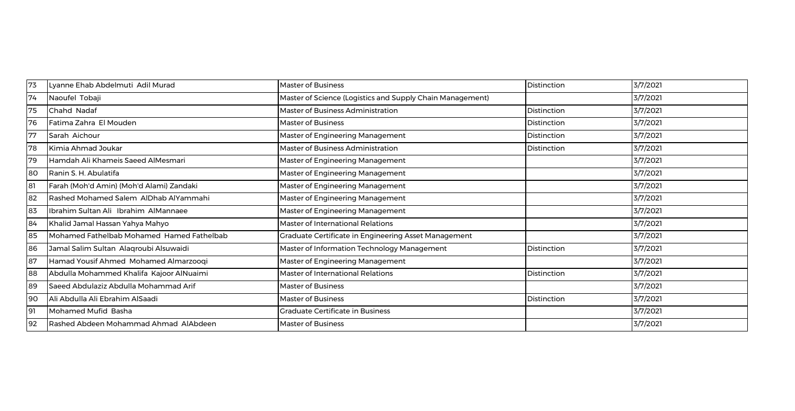| 73 | Lyanne Ehab Abdelmuti Adil Murad          | <b>Master of Business</b>                                 | Distinction | 3/7/2021 |
|----|-------------------------------------------|-----------------------------------------------------------|-------------|----------|
| 74 | Naoufel Tobaji                            | Master of Science (Logistics and Supply Chain Management) |             | 3/7/2021 |
| 75 | Chahd Nadaf                               | Master of Business Administration                         | Distinction | 3/7/2021 |
| 76 | Fatima Zahra El Mouden                    | <b>Master of Business</b>                                 | Distinction | 3/7/2021 |
| 77 | Sarah Aichour                             | Master of Engineering Management                          | Distinction | 3/7/2021 |
| 78 | Kimia Ahmad Joukar                        | Master of Business Administration                         | Distinction | 3/7/2021 |
| 79 | Hamdah Ali Khameis Saeed AlMesmari        | Master of Engineering Management                          |             | 3/7/2021 |
| 80 | Ranin S. H. Abulatifa                     | Master of Engineering Management                          |             | 3/7/2021 |
| 81 | Farah (Moh'd Amin) (Moh'd Alami) Zandaki  | Master of Engineering Management                          |             | 3/7/2021 |
| 82 | Rashed Mohamed Salem AlDhab AlYammahi     | Master of Engineering Management                          |             | 3/7/2021 |
| 83 | Ibrahim Sultan Ali Ibrahim AlMannaee      | Master of Engineering Management                          |             | 3/7/2021 |
| 84 | Khalid Jamal Hassan Yahya Mahyo           | <b>Master of International Relations</b>                  |             | 3/7/2021 |
| 85 | Mohamed Fathelbab Mohamed Hamed Fathelbab | Graduate Certificate in Engineering Asset Management      |             | 3/7/2021 |
| 86 | Jamal Salim Sultan Alaqroubi Alsuwaidi    | Master of Information Technology Management               | Distinction | 3/7/2021 |
| 87 | Hamad Yousif Ahmed Mohamed Almarzooqi     | Master of Engineering Management                          |             | 3/7/2021 |
| 88 | Abdulla Mohammed Khalifa Kajoor AlNuaimi  | Master of International Relations                         | Distinction | 3/7/2021 |
| 89 | Saeed Abdulaziz Abdulla Mohammad Arif     | <b>Master of Business</b>                                 |             | 3/7/2021 |
| 90 | Ali Abdulla Ali Ebrahim AlSaadi           | <b>Master of Business</b>                                 | Distinction | 3/7/2021 |
| 91 | Mohamed Mufid Basha                       | <b>Graduate Certificate in Business</b>                   |             | 3/7/2021 |
| 92 | Rashed Abdeen Mohammad Ahmad AlAbdeen     | <b>Master of Business</b>                                 |             | 3/7/2021 |
|    |                                           |                                                           |             |          |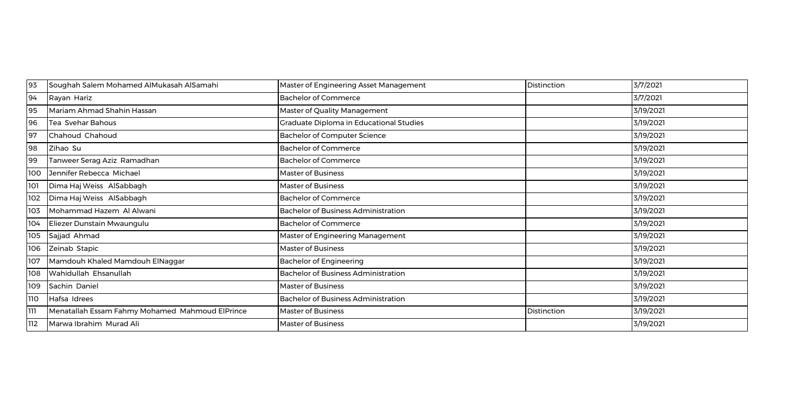| 93         | Soughah Salem Mohamed AlMukasah AlSamahi        | Master of Engineering Asset Management         | Distinction | 3/7/2021  |
|------------|-------------------------------------------------|------------------------------------------------|-------------|-----------|
| 94         | Rayan Hariz                                     | <b>Bachelor of Commerce</b>                    |             | 3/7/2021  |
| 95         | Mariam Ahmad Shahin Hassan                      | Master of Quality Management                   |             | 3/19/2021 |
| 96         | Tea Svehar Bahous                               | <b>Craduate Diploma in Educational Studies</b> |             | 3/19/2021 |
| 97         | Chahoud Chahoud                                 | Bachelor of Computer Science                   |             | 3/19/2021 |
| 98         | Zihao Su                                        | Bachelor of Commerce                           |             | 3/19/2021 |
| 99         | Tanweer Serag Aziz Ramadhan                     | <b>Bachelor of Commerce</b>                    |             | 3/19/2021 |
| 100        | Jennifer Rebecca Michael                        | <b>Master of Business</b>                      |             | 3/19/2021 |
| 101        | Dima Haj Weiss AlSabbagh                        | <b>Master of Business</b>                      |             | 3/19/2021 |
| 102        | Dima Haj Weiss AlSabbagh                        | <b>Bachelor of Commerce</b>                    |             | 3/19/2021 |
| 103        | Mohammad Hazem Al Alwani                        | <b>Bachelor of Business Administration</b>     |             | 3/19/2021 |
| 104        | Eliezer Dunstain Mwaungulu                      | <b>Bachelor of Commerce</b>                    |             | 3/19/2021 |
| 105        | Sajjad Ahmad                                    | Master of Engineering Management               |             | 3/19/2021 |
| 106        | Zeinab Stapic                                   | <b>Master of Business</b>                      |             | 3/19/2021 |
| 107        | Mamdouh Khaled Mamdouh ElNaggar                 | <b>Bachelor of Engineering</b>                 |             | 3/19/2021 |
| 108        | Wahidullah Ehsanullah                           | <b>Bachelor of Business Administration</b>     |             | 3/19/2021 |
| 109        | Sachin Daniel                                   | <b>Master of Business</b>                      |             | 3/19/2021 |
| <b>110</b> | Hafsa Idrees                                    | <b>Bachelor of Business Administration</b>     |             | 3/19/2021 |
| ווו        | Menatallah Essam Fahmy Mohamed Mahmoud ElPrince | <b>Master of Business</b>                      | Distinction | 3/19/2021 |
| 112        | Marwa Ibrahim Murad Ali                         | <b>Master of Business</b>                      |             | 3/19/2021 |
|            |                                                 |                                                |             |           |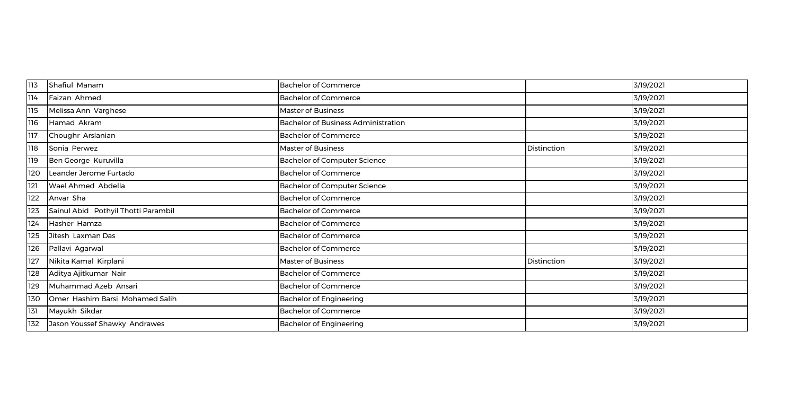| 113 | Shafiul Manam                       | <b>Bachelor of Commerce</b>                |             | 3/19/2021 |
|-----|-------------------------------------|--------------------------------------------|-------------|-----------|
| 114 | Faizan Ahmed                        | <b>Bachelor of Commerce</b>                |             | 3/19/2021 |
| 115 | Melissa Ann Varghese                | Master of Business                         |             | 3/19/2021 |
| 116 | Hamad Akram                         | <b>Bachelor of Business Administration</b> |             | 3/19/2021 |
| 117 | Choughr Arslanian                   | <b>Bachelor of Commerce</b>                |             | 3/19/2021 |
| 118 | Sonia Perwez                        | <b>Master of Business</b>                  | Distinction | 3/19/2021 |
| 119 | Ben George Kuruvilla                | <b>Bachelor of Computer Science</b>        |             | 3/19/2021 |
| 120 | Leander Jerome Furtado              | <b>Bachelor of Commerce</b>                |             | 3/19/2021 |
| 121 | Wael Ahmed Abdella                  | <b>Bachelor of Computer Science</b>        |             | 3/19/2021 |
| 122 | Anvar Sha                           | <b>Bachelor of Commerce</b>                |             | 3/19/2021 |
| 123 | Sainul Abid Pothyil Thotti Parambil | <b>Bachelor of Commerce</b>                |             | 3/19/2021 |
| 124 | Hasher Hamza                        | <b>Bachelor of Commerce</b>                |             | 3/19/2021 |
| 125 | Jitesh Laxman Das                   | <b>Bachelor of Commerce</b>                |             | 3/19/2021 |
| 126 | Pallavi Agarwal                     | <b>Bachelor of Commerce</b>                |             | 3/19/2021 |
| 127 | Nikita Kamal Kirplani               | Master of Business                         | Distinction | 3/19/2021 |
| 128 | Aditya Ajitkumar Nair               | <b>Bachelor of Commerce</b>                |             | 3/19/2021 |
| 129 | Muhammad Azeb Ansari                | <b>Bachelor of Commerce</b>                |             | 3/19/2021 |
| 130 | Omer Hashim Barsi Mohamed Salih     | <b>Bachelor of Engineering</b>             |             | 3/19/2021 |
| 131 | Mayukh Sikdar                       | <b>Bachelor of Commerce</b>                |             | 3/19/2021 |
| 132 | Jason Youssef Shawky Andrawes       | <b>Bachelor of Engineering</b>             |             | 3/19/2021 |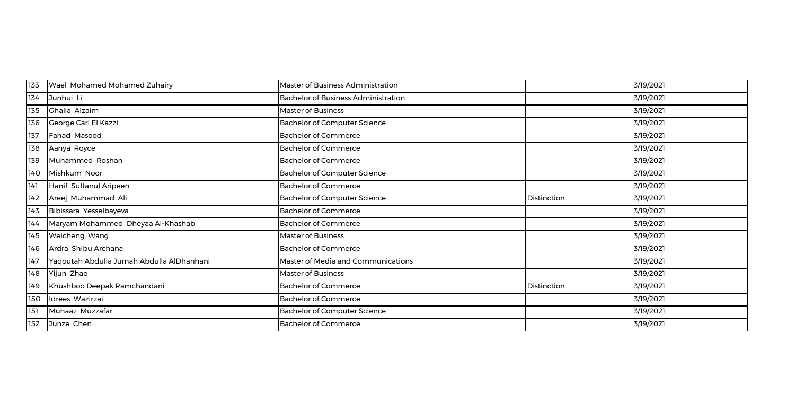| 133 | Wael Mohamed Mohamed Zuhairy              | Master of Business Administration          |             | 3/19/2021 |
|-----|-------------------------------------------|--------------------------------------------|-------------|-----------|
| 134 | Junhui Li                                 | <b>Bachelor of Business Administration</b> |             | 3/19/2021 |
| 135 | Ghalia Alzaim                             | <b>Master of Business</b>                  |             | 3/19/2021 |
| 136 | George Carl El Kazzi                      | <b>Bachelor of Computer Science</b>        |             | 3/19/2021 |
| 137 | Fahad Masood                              | <b>Bachelor of Commerce</b>                |             | 3/19/2021 |
| 138 | Aanya Royce                               | <b>Bachelor of Commerce</b>                |             | 3/19/2021 |
| 139 | Muhammed Roshan                           | <b>Bachelor of Commerce</b>                |             | 3/19/2021 |
| 140 | Mishkum Noor                              | <b>Bachelor of Computer Science</b>        |             | 3/19/2021 |
| 141 | Hanif Sultanul Aripeen                    | <b>Bachelor of Commerce</b>                |             | 3/19/2021 |
| 142 | Areej Muhammad Ali                        | <b>Bachelor of Computer Science</b>        | Distinction | 3/19/2021 |
| 143 | Bibissara Yesselbayeva                    | <b>Bachelor of Commerce</b>                |             | 3/19/2021 |
| 144 | Maryam Mohammed Dheyaa Al-Khashab         | <b>Bachelor of Commerce</b>                |             | 3/19/2021 |
| 145 | Weicheng Wang                             | Master of Business                         |             | 3/19/2021 |
| 146 | Ardra Shibu Archana                       | <b>Bachelor of Commerce</b>                |             | 3/19/2021 |
| 147 | Yaqoutah Abdulla Jumah Abdulla AlDhanhani | Master of Media and Communications         |             | 3/19/2021 |
| 148 | Yijun Zhao                                | Master of Business                         |             | 3/19/2021 |
| 149 | Khushboo Deepak Ramchandani               | <b>Bachelor of Commerce</b>                | Distinction | 3/19/2021 |
| 150 | Idrees Wazirzai                           | <b>Bachelor of Commerce</b>                |             | 3/19/2021 |
| 151 | Muhaaz Muzzafar                           | <b>Bachelor of Computer Science</b>        |             | 3/19/2021 |
| 152 | Junze Chen                                | <b>Bachelor of Commerce</b>                |             | 3/19/2021 |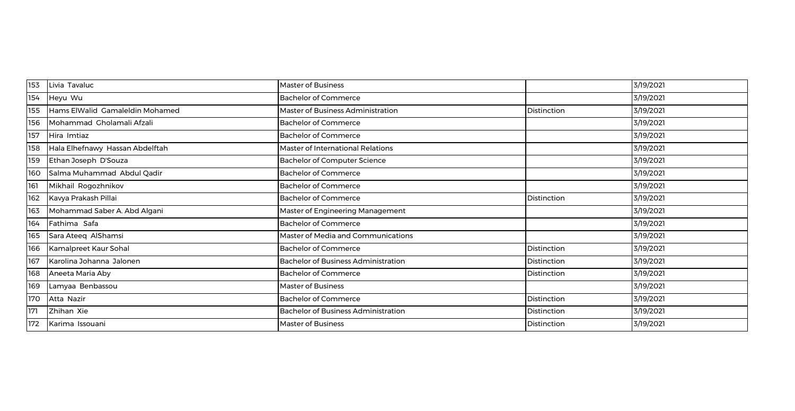| 153 | Livia Tavaluc                   | <b>Master of Business</b>                  |             | 3/19/2021 |
|-----|---------------------------------|--------------------------------------------|-------------|-----------|
| 154 | Heyu Wu                         | <b>Bachelor of Commerce</b>                |             | 3/19/2021 |
| 155 | Hams ElWalid Gamaleldin Mohamed | <b>Master of Business Administration</b>   | Distinction | 3/19/2021 |
| 156 | Mohammad Gholamali Afzali       | <b>Bachelor of Commerce</b>                |             | 3/19/2021 |
| 157 | Hira Imtiaz                     | <b>Bachelor of Commerce</b>                |             | 3/19/2021 |
| 158 | Hala Elhefnawy Hassan Abdelftah | Master of International Relations          |             | 3/19/2021 |
| 159 | Ethan Joseph D'Souza            | <b>Bachelor of Computer Science</b>        |             | 3/19/2021 |
| 160 | Salma Muhammad Abdul Qadir      | <b>Bachelor of Commerce</b>                |             | 3/19/2021 |
| 161 | Mikhail Rogozhnikov             | <b>Bachelor of Commerce</b>                |             | 3/19/2021 |
| 162 | Kavya Prakash Pillai            | <b>Bachelor of Commerce</b>                | Distinction | 3/19/2021 |
| 163 | Mohammad Saber A. Abd Algani    | Master of Engineering Management           |             | 3/19/2021 |
| 164 | Fathima Safa                    | <b>Bachelor of Commerce</b>                |             | 3/19/2021 |
| 165 | Sara Ateeq AlShamsi             | Master of Media and Communications         |             | 3/19/2021 |
| 166 | Kamalpreet Kaur Sohal           | <b>Bachelor of Commerce</b>                | Distinction | 3/19/2021 |
| 167 | Karolina Johanna Jalonen        | <b>Bachelor of Business Administration</b> | Distinction | 3/19/2021 |
| 168 | Aneeta Maria Aby                | <b>Bachelor of Commerce</b>                | Distinction | 3/19/2021 |
| 169 | Lamyaa Benbassou                | <b>Master of Business</b>                  |             | 3/19/2021 |
| 170 | Atta Nazir                      | <b>Bachelor of Commerce</b>                | Distinction | 3/19/2021 |
| 171 | Zhihan Xie                      | <b>Bachelor of Business Administration</b> | Distinction | 3/19/2021 |
| 172 | Karima Issouani                 | <b>Master of Business</b>                  | Distinction | 3/19/2021 |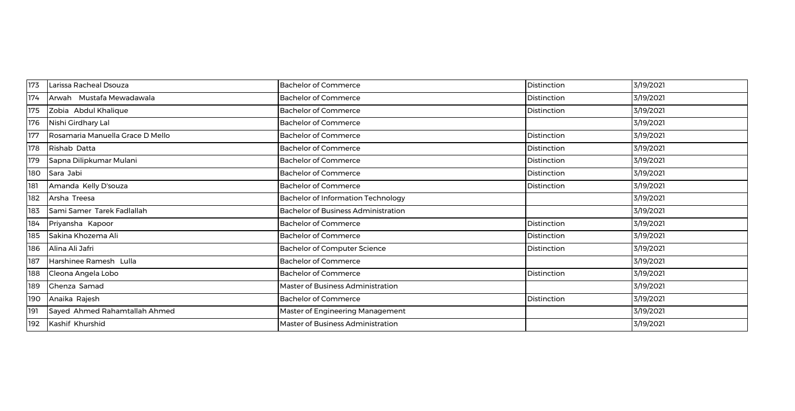| 173 | Larissa Racheal Dsouza           | <b>Bachelor of Commerce</b>                | Distinction        | 3/19/2021 |
|-----|----------------------------------|--------------------------------------------|--------------------|-----------|
| 174 | Arwah Mustafa Mewadawala         | <b>Bachelor of Commerce</b>                | Distinction        | 3/19/2021 |
| 175 | Zobia Abdul Khalique             | <b>Bachelor of Commerce</b>                | Distinction        | 3/19/2021 |
| 176 | Nishi Girdhary Lal               | <b>Bachelor of Commerce</b>                |                    | 3/19/2021 |
| 177 | Rosamaria Manuella Grace D Mello | <b>Bachelor of Commerce</b>                | Distinction        | 3/19/2021 |
| 178 | Rishab Datta                     | <b>Bachelor of Commerce</b>                | <b>Distinction</b> | 3/19/2021 |
| 179 | Sapna Dilipkumar Mulani          | <b>Bachelor of Commerce</b>                | Distinction        | 3/19/2021 |
| 180 | Sara Jabi                        | <b>Bachelor of Commerce</b>                | Distinction        | 3/19/2021 |
| 181 | Amanda Kelly D'souza             | <b>Bachelor of Commerce</b>                | Distinction        | 3/19/2021 |
| 182 | Arsha Treesa                     | <b>Bachelor of Information Technology</b>  |                    | 3/19/2021 |
| 183 | Sami Samer Tarek Fadlallah       | <b>Bachelor of Business Administration</b> |                    | 3/19/2021 |
| 184 | Priyansha Kapoor                 | <b>Bachelor of Commerce</b>                | Distinction        | 3/19/2021 |
| 185 | Sakina Khozema Ali               | <b>Bachelor of Commerce</b>                | Distinction        | 3/19/2021 |
| 186 | Alina Ali Jafri                  | <b>Bachelor of Computer Science</b>        | Distinction        | 3/19/2021 |
| 187 | Harshinee Ramesh Lulla           | <b>Bachelor of Commerce</b>                |                    | 3/19/2021 |
| 188 | Cleona Angela Lobo               | <b>Bachelor of Commerce</b>                | Distinction        | 3/19/2021 |
| 189 | Ghenza Samad                     | Master of Business Administration          |                    | 3/19/2021 |
| 190 | Anaika Rajesh                    | <b>Bachelor of Commerce</b>                | Distinction        | 3/19/2021 |
| 191 | Sayed Ahmed Rahamtallah Ahmed    | Master of Engineering Management           |                    | 3/19/2021 |
| 192 | Kashif Khurshid                  | Master of Business Administration          |                    | 3/19/2021 |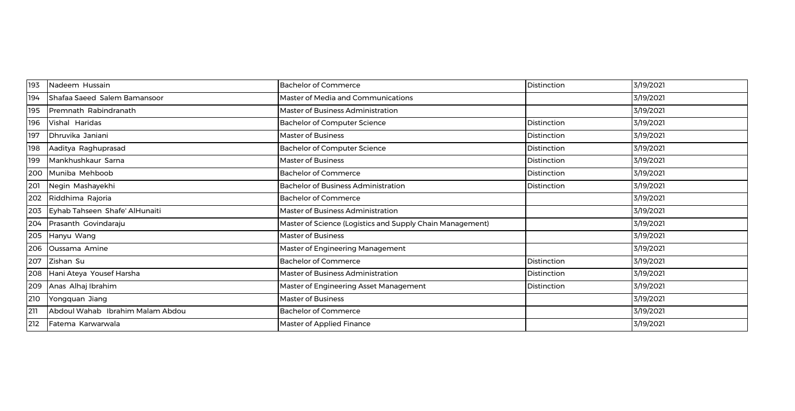| 193 | Nadeem Hussain                   | <b>Bachelor of Commerce</b>                               | Distinction | 3/19/2021 |
|-----|----------------------------------|-----------------------------------------------------------|-------------|-----------|
| 194 | Shafaa Saeed Salem Bamansoor     | Master of Media and Communications                        |             | 3/19/2021 |
| 195 | Premnath Rabindranath            | Master of Business Administration                         |             | 3/19/2021 |
| 196 | Vishal Haridas                   | <b>Bachelor of Computer Science</b>                       | Distinction | 3/19/2021 |
| 197 | Dhruvika Janiani                 | Master of Business                                        | Distinction | 3/19/2021 |
| 198 | Aaditya Raghuprasad              | <b>Bachelor of Computer Science</b>                       | Distinction | 3/19/2021 |
| 199 | Mankhushkaur Sarna               | Master of Business                                        | Distinction | 3/19/2021 |
| 200 | Muniba Mehboob                   | <b>Bachelor of Commerce</b>                               | Distinction | 3/19/2021 |
| 201 | Negin Mashayekhi                 | <b>Bachelor of Business Administration</b>                | Distinction | 3/19/2021 |
| 202 | Riddhima Rajoria                 | <b>Bachelor of Commerce</b>                               |             | 3/19/2021 |
| 203 | Eyhab Tahseen Shafe' AlHunaiti   | Master of Business Administration                         |             | 3/19/2021 |
| 204 | Prasanth Govindaraju             | Master of Science (Logistics and Supply Chain Management) |             | 3/19/2021 |
| 205 | Hanyu Wang                       | <b>Master of Business</b>                                 |             | 3/19/2021 |
| 206 | Oussama Amine                    | Master of Engineering Management                          |             | 3/19/2021 |
| 207 | Zishan Su                        | <b>Bachelor of Commerce</b>                               | Distinction | 3/19/2021 |
| 208 | Hani Ateya Yousef Harsha         | Master of Business Administration                         | Distinction | 3/19/2021 |
| 209 | Anas Alhaj Ibrahim               | Master of Engineering Asset Management                    | Distinction | 3/19/2021 |
| 210 | Yongquan Jiang                   | <b>Master of Business</b>                                 |             | 3/19/2021 |
| 211 | Abdoul Wahab Ibrahim Malam Abdou | <b>Bachelor of Commerce</b>                               |             | 3/19/2021 |
| 212 | Fatema Karwarwala                | <b>Master of Applied Finance</b>                          |             | 3/19/2021 |
|     |                                  |                                                           |             |           |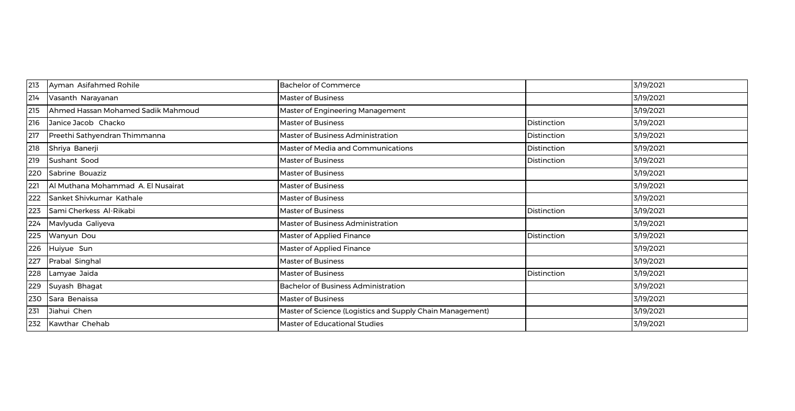| 213 | Ayman Asifahmed Rohile             | <b>Bachelor of Commerce</b>                               |             | 3/19/2021 |
|-----|------------------------------------|-----------------------------------------------------------|-------------|-----------|
| 214 | Vasanth Narayanan                  | Master of Business                                        |             | 3/19/2021 |
| 215 | Ahmed Hassan Mohamed Sadik Mahmoud | Master of Engineering Management                          |             | 3/19/2021 |
| 216 | Janice Jacob Chacko                | Master of Business                                        | Distinction | 3/19/2021 |
| 217 | Preethi Sathyendran Thimmanna      | Master of Business Administration                         | Distinction | 3/19/2021 |
| 218 | Shriya Banerji                     | Master of Media and Communications                        | Distinction | 3/19/2021 |
| 219 | Sushant Sood                       | <b>Master of Business</b>                                 | Distinction | 3/19/2021 |
| 220 | Sabrine Bouaziz                    | <b>Master of Business</b>                                 |             | 3/19/2021 |
| 221 | Al Muthana Mohammad A. El Nusairat | <b>Master of Business</b>                                 |             | 3/19/2021 |
| 222 | Sanket Shivkumar Kathale           | <b>Master of Business</b>                                 |             | 3/19/2021 |
| 223 | Sami Cherkess Al-Rikabi            | <b>Master of Business</b>                                 | Distinction | 3/19/2021 |
| 224 | Mavlyuda Galiyeva                  | Master of Business Administration                         |             | 3/19/2021 |
| 225 | Wanyun Dou                         | Master of Applied Finance                                 | Distinction | 3/19/2021 |
| 226 | Huiyue Sun                         | Master of Applied Finance                                 |             | 3/19/2021 |
| 227 | Prabal Singhal                     | Master of Business                                        |             | 3/19/2021 |
| 228 | Lamyae Jaida                       | <b>Master of Business</b>                                 | Distinction | 3/19/2021 |
| 229 | Suyash Bhagat                      | <b>Bachelor of Business Administration</b>                |             | 3/19/2021 |
| 230 | Sara Benaissa                      | <b>Master of Business</b>                                 |             | 3/19/2021 |
| 231 | Jiahui Chen                        | Master of Science (Logistics and Supply Chain Management) |             | 3/19/2021 |
| 232 | Kawthar Chehab                     | <b>Master of Educational Studies</b>                      |             | 3/19/2021 |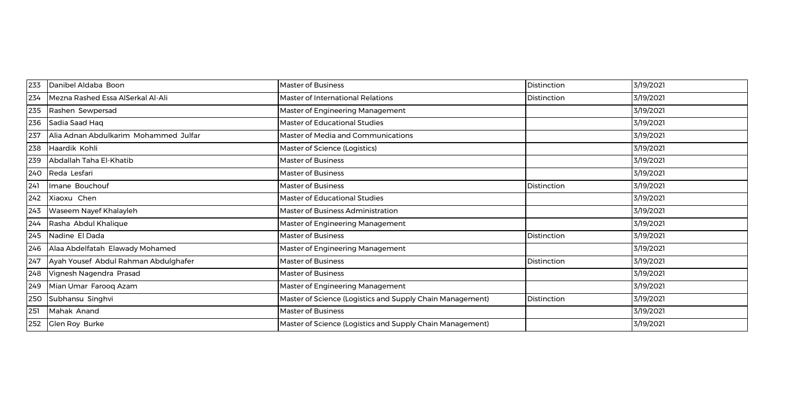| 233 | Danibel Aldaba Boon                   | <b>Master of Business</b>                                 | Distinction | 3/19/2021 |
|-----|---------------------------------------|-----------------------------------------------------------|-------------|-----------|
| 234 | Mezna Rashed Essa AlSerkal Al-Ali     | Master of International Relations                         | Distinction | 3/19/2021 |
| 235 | Rashen Sewpersad                      | Master of Engineering Management                          |             | 3/19/2021 |
| 236 | Sadia Saad Haq                        | Master of Educational Studies                             |             | 3/19/2021 |
| 237 | Alia Adnan Abdulkarim Mohammed Julfar | Master of Media and Communications                        |             | 3/19/2021 |
| 238 | Haardik Kohli                         | Master of Science (Logistics)                             |             | 3/19/2021 |
| 239 | Abdallah Taha El-Khatib               | Master of Business                                        |             | 3/19/2021 |
| 240 | Reda Lesfari                          | <b>Master of Business</b>                                 |             | 3/19/2021 |
| 241 | Imane Bouchouf                        | <b>Master of Business</b>                                 | Distinction | 3/19/2021 |
| 242 | Xiaoxu Chen                           | <b>Master of Educational Studies</b>                      |             | 3/19/2021 |
| 243 | Waseem Nayef Khalayleh                | Master of Business Administration                         |             | 3/19/2021 |
| 244 | Rasha Abdul Khalique                  | Master of Engineering Management                          |             | 3/19/2021 |
| 245 | Nadine El Dada                        | <b>Master of Business</b>                                 | Distinction | 3/19/2021 |
| 246 | Alaa Abdelfatah Elawady Mohamed       | Master of Engineering Management                          |             | 3/19/2021 |
| 247 | Ayah Yousef Abdul Rahman Abdulghafer  | <b>Master of Business</b>                                 | Distinction | 3/19/2021 |
| 248 | Vignesh Nagendra Prasad               | <b>Master of Business</b>                                 |             | 3/19/2021 |
| 249 | Mian Umar Farooq Azam                 | Master of Engineering Management                          |             | 3/19/2021 |
| 250 | Subhansu Singhvi                      | Master of Science (Logistics and Supply Chain Management) | Distinction | 3/19/2021 |
| 251 | Mahak Anand                           | <b>Master of Business</b>                                 |             | 3/19/2021 |
| 252 | <b>Glen Roy Burke</b>                 | Master of Science (Logistics and Supply Chain Management) |             | 3/19/2021 |
|     |                                       |                                                           |             |           |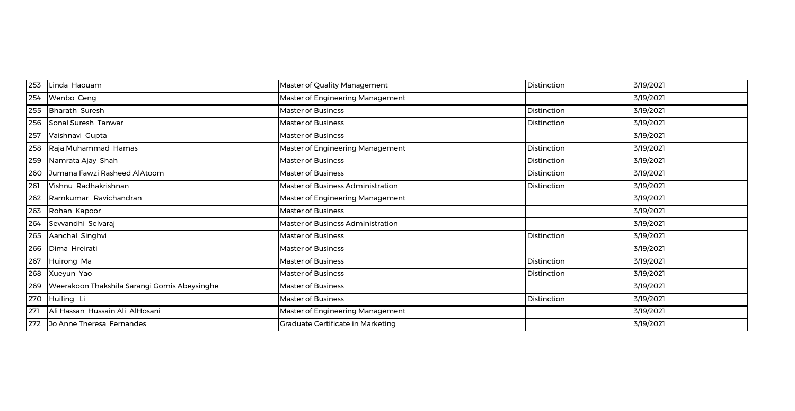| 253 | Linda Haouam                                 | Master of Quality Management      | Distinction | 3/19/2021 |
|-----|----------------------------------------------|-----------------------------------|-------------|-----------|
| 254 | Wenbo Ceng                                   | Master of Engineering Management  |             | 3/19/2021 |
| 255 | Bharath Suresh                               | <b>Master of Business</b>         | Distinction | 3/19/2021 |
| 256 | Sonal Suresh Tanwar                          | <b>Master of Business</b>         | Distinction | 3/19/2021 |
| 257 | Vaishnavi Gupta                              | <b>Master of Business</b>         |             | 3/19/2021 |
| 258 | Raja Muhammad Hamas                          | Master of Engineering Management  | Distinction | 3/19/2021 |
| 259 | Namrata Ajay Shah                            | <b>Master of Business</b>         | Distinction | 3/19/2021 |
| 260 | Jumana Fawzi Rasheed AlAtoom                 | <b>Master of Business</b>         | Distinction | 3/19/2021 |
| 261 | Vishnu Radhakrishnan                         | Master of Business Administration | Distinction | 3/19/2021 |
| 262 | Ramkumar Ravichandran                        | Master of Engineering Management  |             | 3/19/2021 |
| 263 | Rohan Kapoor                                 | Master of Business                |             | 3/19/2021 |
| 264 | Sevvandhi Selvaraj                           | Master of Business Administration |             | 3/19/2021 |
| 265 | Aanchal Singhvi                              | <b>Master of Business</b>         | Distinction | 3/19/2021 |
| 266 | Dima Hreirati                                | <b>Master of Business</b>         |             | 3/19/2021 |
| 267 | Huirong Ma                                   | <b>Master of Business</b>         | Distinction | 3/19/2021 |
| 268 | Xueyun Yao                                   | <b>Master of Business</b>         | Distinction | 3/19/2021 |
| 269 | Weerakoon Thakshila Sarangi Gomis Abeysinghe | <b>Master of Business</b>         |             | 3/19/2021 |
| 270 | Huiling Li                                   | <b>Master of Business</b>         | Distinction | 3/19/2021 |
| 271 | Ali Hassan Hussain Ali AlHosani              | Master of Engineering Management  |             | 3/19/2021 |
| 272 | Jo Anne Theresa Fernandes                    | Graduate Certificate in Marketing |             | 3/19/2021 |
|     |                                              |                                   |             |           |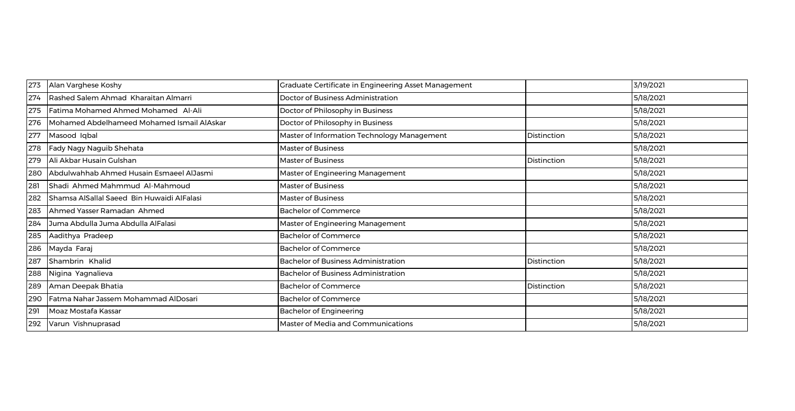| 273 | Alan Varghese Koshy                        | <b>Graduate Certificate in Engineering Asset Management</b> |             | 3/19/2021 |
|-----|--------------------------------------------|-------------------------------------------------------------|-------------|-----------|
| 274 | Rashed Salem Ahmad Kharaitan Almarri       | Doctor of Business Administration                           |             | 5/18/2021 |
| 275 | Fatima Mohamed Ahmed Mohamed Al-Ali        | Doctor of Philosophy in Business                            |             | 5/18/2021 |
| 276 | Mohamed Abdelhameed Mohamed Ismail AlAskar | Doctor of Philosophy in Business                            |             | 5/18/2021 |
| 277 | Masood Iqbal                               | Master of Information Technology Management                 | Distinction | 5/18/2021 |
| 278 | Fady Nagy Naguib Shehata                   | <b>Master of Business</b>                                   |             | 5/18/2021 |
| 279 | Ali Akbar Husain Gulshan                   | <b>Master of Business</b>                                   | Distinction | 5/18/2021 |
| 280 | Abdulwahhab Ahmed Husain Esmaeel AlJasmi   | Master of Engineering Management                            |             | 5/18/2021 |
| 281 | Shadi Ahmed Mahmmud Al-Mahmoud             | <b>Master of Business</b>                                   |             | 5/18/2021 |
| 282 | Shamsa AlSallal Saeed Bin Huwaidi AlFalasi | <b>Master of Business</b>                                   |             | 5/18/2021 |
| 283 | Ahmed Yasser Ramadan Ahmed                 | <b>Bachelor of Commerce</b>                                 |             | 5/18/2021 |
| 284 | Juma Abdulla Juma Abdulla AlFalasi         | Master of Engineering Management                            |             | 5/18/2021 |
| 285 | Aadithya Pradeep                           | <b>Bachelor of Commerce</b>                                 |             | 5/18/2021 |
| 286 | Mayda Faraj                                | <b>Bachelor of Commerce</b>                                 |             | 5/18/2021 |
| 287 | Shambrin Khalid                            | <b>Bachelor of Business Administration</b>                  | Distinction | 5/18/2021 |
| 288 | Nigina Yagnalieva                          | <b>Bachelor of Business Administration</b>                  |             | 5/18/2021 |
| 289 | Aman Deepak Bhatia                         | <b>Bachelor of Commerce</b>                                 | Distinction | 5/18/2021 |
| 290 | Fatma Nahar Jassem Mohammad AlDosari       | <b>Bachelor of Commerce</b>                                 |             | 5/18/2021 |
| 291 | Moaz Mostafa Kassar                        | <b>Bachelor of Engineering</b>                              |             | 5/18/2021 |
| 292 | Varun Vishnuprasad                         | Master of Media and Communications                          |             | 5/18/2021 |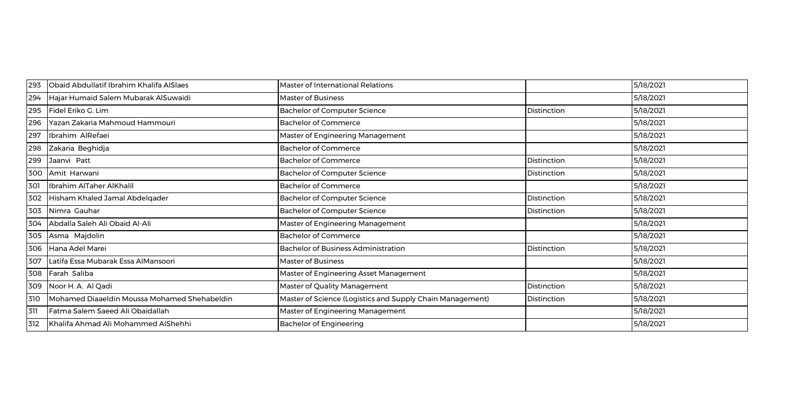| 293 | Obaid Abdullatif Ibrahim Khalifa AlSlaes     | <b>Master of International Relations</b>                  |             | 5/18/2021 |
|-----|----------------------------------------------|-----------------------------------------------------------|-------------|-----------|
| 294 | Hajar Humaid Salem Mubarak AlSuwaidi         | <b>Master of Business</b>                                 |             | 5/18/2021 |
| 295 | Fidel Eriko G. Lim                           | <b>Bachelor of Computer Science</b>                       | Distinction | 5/18/2021 |
| 296 | Yazan Zakaria Mahmoud Hammouri               | <b>Bachelor of Commerce</b>                               |             | 5/18/2021 |
| 297 | Ibrahim AlRefaei                             | Master of Engineering Management                          |             | 5/18/2021 |
| 298 | Zakaria Beghidja                             | <b>Bachelor of Commerce</b>                               |             | 5/18/2021 |
| 299 | Jaanvi Patt                                  | <b>Bachelor of Commerce</b>                               | Distinction | 5/18/2021 |
|     | 300 Amit Harwani                             | <b>Bachelor of Computer Science</b>                       | Distinction | 5/18/2021 |
| 301 | Ibrahim AlTaher AlKhalil                     | <b>Bachelor of Commerce</b>                               |             | 5/18/2021 |
|     | 302 Hisham Khaled Jamal Abdelgader           | <b>Bachelor of Computer Science</b>                       | Distinction | 5/18/2021 |
| 303 | Nimra Gauhar                                 | <b>Bachelor of Computer Science</b>                       | Distinction | 5/18/2021 |
| 304 | Abdalla Saleh Ali Obaid Al-Ali               | Master of Engineering Management                          |             | 5/18/2021 |
| 305 | Asma Majdolin                                | <b>Bachelor of Commerce</b>                               |             | 5/18/2021 |
|     | 306 Hana Adel Marei                          | <b>Bachelor of Business Administration</b>                | Distinction | 5/18/2021 |
| 307 | Latifa Essa Mubarak Essa AlMansoori          | <b>Master of Business</b>                                 |             | 5/18/2021 |
|     | 308 Farah Saliba                             | Master of Engineering Asset Management                    |             | 5/18/2021 |
| 309 | Noor H. A. Al Qadi                           | Master of Quality Management                              | Distinction | 5/18/2021 |
| 310 | Mohamed Diaaeldin Moussa Mohamed Shehabeldin | Master of Science (Logistics and Supply Chain Management) | Distinction | 5/18/2021 |
| 311 | Fatma Salem Saeed Ali Obaidallah             | Master of Engineering Management                          |             | 5/18/2021 |
| 312 | Khalifa Ahmad Ali Mohammed AlShehhi          | <b>Bachelor of Engineering</b>                            |             | 5/18/2021 |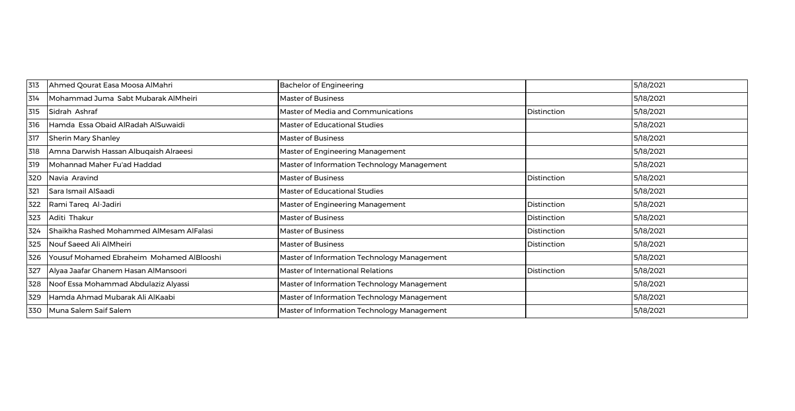| 313 | Ahmed Qourat Easa Moosa AlMahri           | <b>Bachelor of Engineering</b>              |             | 5/18/2021 |
|-----|-------------------------------------------|---------------------------------------------|-------------|-----------|
| 314 | Mohammad Juma Sabt Mubarak AlMheiri       | <b>Master of Business</b>                   |             | 5/18/2021 |
| 315 | Sidrah Ashraf                             | Master of Media and Communications          | Distinction | 5/18/2021 |
| 316 | Hamda Essa Obaid AlRadah AlSuwaidi        | Master of Educational Studies               |             | 5/18/2021 |
| 317 | <b>Sherin Mary Shanley</b>                | <b>Master of Business</b>                   |             | 5/18/2021 |
| 318 | Amna Darwish Hassan Albuqaish Alraeesi    | Master of Engineering Management            |             | 5/18/2021 |
| 319 | Mohannad Maher Fu'ad Haddad               | Master of Information Technology Management |             | 5/18/2021 |
| 320 | Navia Aravind                             | <b>Master of Business</b>                   | Distinction | 5/18/2021 |
| 321 | Sara Ismail AlSaadi                       | Master of Educational Studies               |             | 5/18/2021 |
| 322 | Rami Tareq Al-Jadiri                      | Master of Engineering Management            | Distinction | 5/18/2021 |
| 323 | Aditi Thakur                              | <b>Master of Business</b>                   | Distinction | 5/18/2021 |
| 324 | Shaikha Rashed Mohammed AlMesam AlFalasi  | <b>Master of Business</b>                   | Distinction | 5/18/2021 |
| 325 | Nouf Saeed Ali AlMheiri                   | <b>Master of Business</b>                   | Distinction | 5/18/2021 |
| 326 | Yousuf Mohamed Ebraheim Mohamed AlBlooshi | Master of Information Technology Management |             | 5/18/2021 |
| 327 | Alyaa Jaafar Ghanem Hasan AlMansoori      | Master of International Relations           | Distinction | 5/18/2021 |
| 328 | Noof Essa Mohammad Abdulaziz Alyassi      | Master of Information Technology Management |             | 5/18/2021 |
| 329 | Hamda Ahmad Mubarak Ali AlKaabi           | Master of Information Technology Management |             | 5/18/2021 |
| 330 | Muna Salem Saif Salem                     | Master of Information Technology Management |             | 5/18/2021 |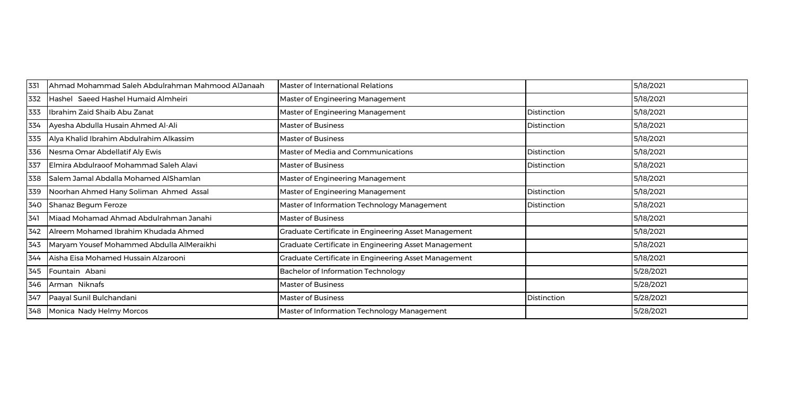| 331 | Ahmad Mohammad Saleh Abdulrahman Mahmood AlJanaah | <b>Master of International Relations</b>             |                    | 5/18/2021 |
|-----|---------------------------------------------------|------------------------------------------------------|--------------------|-----------|
| 332 | Hashel Saeed Hashel Humaid Almheiri               | Master of Engineering Management                     |                    | 5/18/2021 |
| 333 | Ibrahim Zaid Shaib Abu Zanat                      | Master of Engineering Management                     | <b>Distinction</b> | 5/18/2021 |
| 334 | Ayesha Abdulla Husain Ahmed Al-Ali                | <b>Master of Business</b>                            | Distinction        | 5/18/2021 |
| 335 | Alya Khalid Ibrahim Abdulrahim Alkassim           | <b>Master of Business</b>                            |                    | 5/18/2021 |
| 336 | Nesma Omar Abdellatif Aly Ewis                    | Master of Media and Communications                   | <b>Distinction</b> | 5/18/2021 |
| 337 | Elmira Abdulraoof Mohammad Saleh Alavi            | <b>Master of Business</b>                            | <b>Distinction</b> | 5/18/2021 |
| 338 | Salem Jamal Abdalla Mohamed AlShamlan             | Master of Engineering Management                     |                    | 5/18/2021 |
| 339 | Noorhan Ahmed Hany Soliman Ahmed Assal            | Master of Engineering Management                     | Distinction        | 5/18/2021 |
| 340 | Shanaz Begum Feroze                               | Master of Information Technology Management          | Distinction        | 5/18/2021 |
| 341 | Miaad Mohamad Ahmad Abdulrahman Janahi            | <b>Master of Business</b>                            |                    | 5/18/2021 |
| 342 | Alreem Mohamed Ibrahim Khudada Ahmed              | Graduate Certificate in Engineering Asset Management |                    | 5/18/2021 |
| 343 | Maryam Yousef Mohammed Abdulla AlMeraikhi         | Graduate Certificate in Engineering Asset Management |                    | 5/18/2021 |
| 344 | Aisha Eisa Mohamed Hussain Alzarooni              | Graduate Certificate in Engineering Asset Management |                    | 5/18/2021 |
| 345 | Fountain Abani                                    | <b>Bachelor of Information Technology</b>            |                    | 5/28/2021 |
| 346 | Arman Niknafs                                     | <b>Master of Business</b>                            |                    | 5/28/2021 |
| 347 | Paayal Sunil Bulchandani                          | <b>Master of Business</b>                            | Distinction        | 5/28/2021 |
| 348 | Monica Nady Helmy Morcos                          | Master of Information Technology Management          |                    | 5/28/2021 |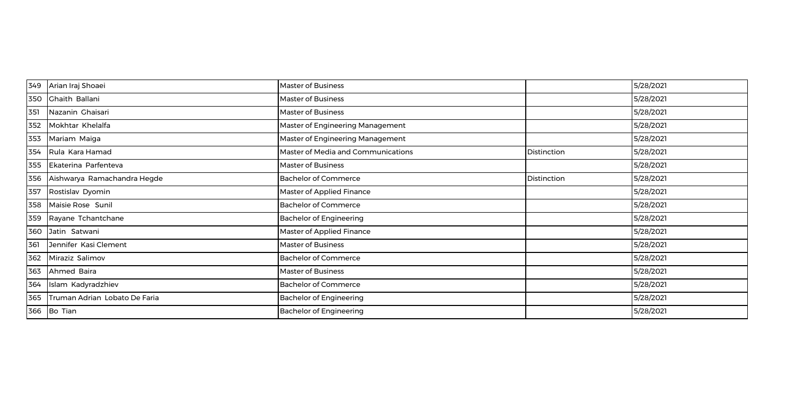| 349 | Arian Iraj Shoaei               | <b>Master of Business</b>          |                    | 5/28/2021 |
|-----|---------------------------------|------------------------------------|--------------------|-----------|
|     | 350 Chaith Ballani              | <b>Master of Business</b>          |                    | 5/28/2021 |
| 351 | Nazanin Ghaisari                | <b>Master of Business</b>          |                    | 5/28/2021 |
| 352 | Mokhtar Khelalfa                | Master of Engineering Management   |                    | 5/28/2021 |
| 353 | Mariam Maiga                    | Master of Engineering Management   |                    | 5/28/2021 |
| 354 | Rula Kara Hamad                 | Master of Media and Communications | <b>Distinction</b> | 5/28/2021 |
| 355 | Ekaterina Parfenteva            | <b>Master of Business</b>          |                    | 5/28/2021 |
|     | 356 Aishwarya Ramachandra Hegde | <b>Bachelor of Commerce</b>        | Distinction        | 5/28/2021 |
| 357 | Rostislav Dyomin                | Master of Applied Finance          |                    | 5/28/2021 |
| 358 | Maisie Rose Sunil               | <b>Bachelor of Commerce</b>        |                    | 5/28/2021 |
| 359 | Rayane Tchantchane              | <b>Bachelor of Engineering</b>     |                    | 5/28/2021 |
|     | 360 Jatin Satwani               | Master of Applied Finance          |                    | 5/28/2021 |
| 361 | Jennifer Kasi Clement           | <b>Master of Business</b>          |                    | 5/28/2021 |
| 362 | Miraziz Salimov                 | <b>Bachelor of Commerce</b>        |                    | 5/28/2021 |
| 363 | Ahmed Baira                     | <b>Master of Business</b>          |                    | 5/28/2021 |
| 364 | Islam Kadyradzhiev              | <b>Bachelor of Commerce</b>        |                    | 5/28/2021 |
| 365 | Truman Adrian Lobato De Faria   | <b>Bachelor of Engineering</b>     |                    | 5/28/2021 |
|     | 366 Bo Tian                     | <b>Bachelor of Engineering</b>     |                    | 5/28/2021 |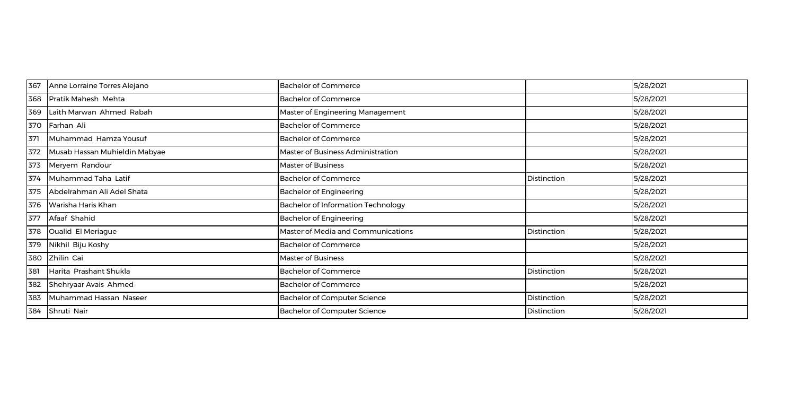| 367 | Anne Lorraine Torres Alejano  | <b>Bachelor of Commerce</b>         |             | 5/28/2021 |
|-----|-------------------------------|-------------------------------------|-------------|-----------|
| 368 | Pratik Mahesh Mehta           | <b>Bachelor of Commerce</b>         |             | 5/28/2021 |
| 369 | Laith Marwan Ahmed Rabah      | Master of Engineering Management    |             | 5/28/2021 |
| 370 | Farhan Ali                    | <b>Bachelor of Commerce</b>         |             | 5/28/2021 |
| 371 | Muhammad Hamza Yousuf         | <b>Bachelor of Commerce</b>         |             | 5/28/2021 |
| 372 | Musab Hassan Muhieldin Mabyae | Master of Business Administration   |             | 5/28/2021 |
| 373 | Meryem Randour                | <b>Master of Business</b>           |             | 5/28/2021 |
| 374 | Muhammad Taha Latif           | <b>Bachelor of Commerce</b>         | Distinction | 5/28/2021 |
| 375 | Abdelrahman Ali Adel Shata    | <b>Bachelor of Engineering</b>      |             | 5/28/2021 |
| 376 | Warisha Haris Khan            | Bachelor of Information Technology  |             | 5/28/2021 |
| 377 | Afaaf Shahid                  | <b>Bachelor of Engineering</b>      |             | 5/28/2021 |
| 378 | Oualid El Meriague            | Master of Media and Communications  | Distinction | 5/28/2021 |
| 379 | Nikhil Biju Koshy             | <b>Bachelor of Commerce</b>         |             | 5/28/2021 |
| 380 | Zhilin Cai                    | <b>Master of Business</b>           |             | 5/28/2021 |
| 381 | Harita Prashant Shukla        | <b>Bachelor of Commerce</b>         | Distinction | 5/28/2021 |
| 382 | Shehryaar Avais Ahmed         | <b>Bachelor of Commerce</b>         |             | 5/28/2021 |
| 383 | Muhammad Hassan Naseer        | <b>Bachelor of Computer Science</b> | Distinction | 5/28/2021 |
| 384 | Shruti Nair                   | <b>Bachelor of Computer Science</b> | Distinction | 5/28/2021 |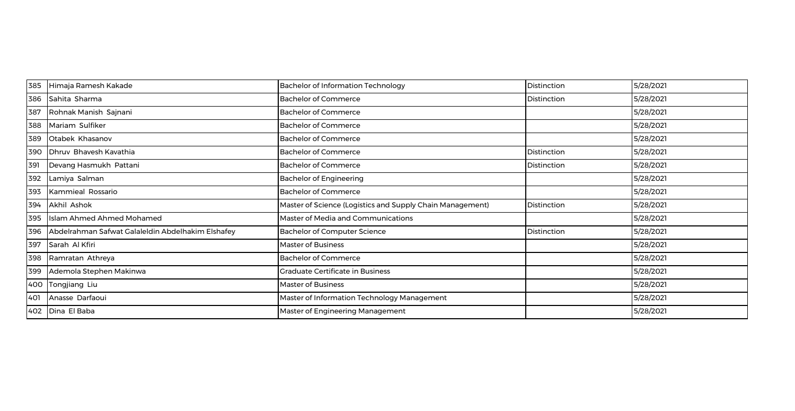| 385 | Himaja Ramesh Kakade                              | <b>Bachelor of Information Technology</b>                 | Distinction | 5/28/2021 |
|-----|---------------------------------------------------|-----------------------------------------------------------|-------------|-----------|
| 386 | Sahita Sharma                                     | <b>Bachelor of Commerce</b>                               | Distinction | 5/28/2021 |
| 387 | Rohnak Manish Sajnani                             | <b>Bachelor of Commerce</b>                               |             | 5/28/2021 |
| 388 | Mariam Sulfiker                                   | <b>Bachelor of Commerce</b>                               |             | 5/28/2021 |
| 389 | Otabek Khasanov                                   | <b>Bachelor of Commerce</b>                               |             | 5/28/2021 |
| 390 | Dhruv Bhavesh Kavathia                            | <b>Bachelor of Commerce</b>                               | Distinction | 5/28/2021 |
| 391 | Devang Hasmukh Pattani                            | <b>Bachelor of Commerce</b>                               | Distinction | 5/28/2021 |
| 392 | Lamiya Salman                                     | <b>Bachelor of Engineering</b>                            |             | 5/28/2021 |
| 393 | Kammieal Rossario                                 | <b>Bachelor of Commerce</b>                               |             | 5/28/2021 |
| 394 | Akhil Ashok                                       | Master of Science (Logistics and Supply Chain Management) | Distinction | 5/28/2021 |
| 395 | Islam Ahmed Ahmed Mohamed                         | Master of Media and Communications                        |             | 5/28/2021 |
| 396 | Abdelrahman Safwat Galaleldin Abdelhakim Elshafey | <b>Bachelor of Computer Science</b>                       | Distinction | 5/28/2021 |
| 397 | Sarah Al Kfiri                                    | <b>Master of Business</b>                                 |             | 5/28/2021 |
| 398 | Ramratan Athreya                                  | <b>Bachelor of Commerce</b>                               |             | 5/28/2021 |
| 399 | Ademola Stephen Makinwa                           | <b>Graduate Certificate in Business</b>                   |             | 5/28/2021 |
| 400 | Tongjiang Liu                                     | <b>Master of Business</b>                                 |             | 5/28/2021 |
| 401 | Anasse Darfaoui                                   | Master of Information Technology Management               |             | 5/28/2021 |
| 402 | Dina El Baba                                      | Master of Engineering Management                          |             | 5/28/2021 |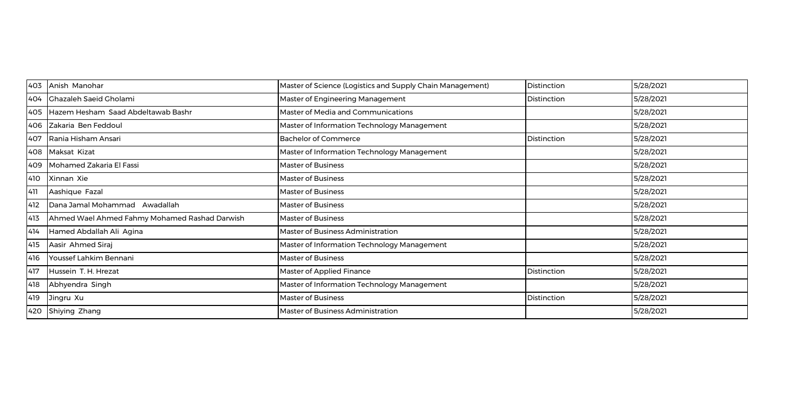| 403 | Anish Manohar                                 | Master of Science (Logistics and Supply Chain Management) | <b>Distinction</b> | 5/28/2021 |
|-----|-----------------------------------------------|-----------------------------------------------------------|--------------------|-----------|
| 404 | <b>Chazaleh Saeid Cholami</b>                 | Master of Engineering Management                          | Distinction        | 5/28/2021 |
| 405 | Hazem Hesham Saad Abdeltawab Bashr            | Master of Media and Communications                        |                    | 5/28/2021 |
| 406 | Zakaria Ben Feddoul                           | Master of Information Technology Management               |                    | 5/28/2021 |
| 407 | Rania Hisham Ansari                           | <b>Bachelor of Commerce</b>                               | Distinction        | 5/28/2021 |
|     | 408   Maksat Kizat                            | Master of Information Technology Management               |                    | 5/28/2021 |
| 409 | Mohamed Zakaria El Fassi                      | Master of Business                                        |                    | 5/28/2021 |
| 410 | Xinnan Xie                                    | Master of Business                                        |                    | 5/28/2021 |
| 411 | Aashique Fazal                                | Master of Business                                        |                    | 5/28/2021 |
| 412 | Dana Jamal Mohammad Awadallah                 | Master of Business                                        |                    | 5/28/2021 |
| 413 | Ahmed Wael Ahmed Fahmy Mohamed Rashad Darwish | Master of Business                                        |                    | 5/28/2021 |
| 414 | Hamed Abdallah Ali Agina                      | Master of Business Administration                         |                    | 5/28/2021 |
| 415 | Aasir Ahmed Siraj                             | Master of Information Technology Management               |                    | 5/28/2021 |
| 416 | Youssef Lahkim Bennani                        | <b>Master of Business</b>                                 |                    | 5/28/2021 |
| 417 | Hussein T. H. Hrezat                          | Master of Applied Finance                                 | Distinction        | 5/28/2021 |
| 418 | Abhyendra Singh                               | Master of Information Technology Management               |                    | 5/28/2021 |
| 419 | Jingru Xu                                     | Master of Business                                        | Distinction        | 5/28/2021 |
| 420 | Shiying Zhang                                 | Master of Business Administration                         |                    | 5/28/2021 |
|     |                                               |                                                           |                    |           |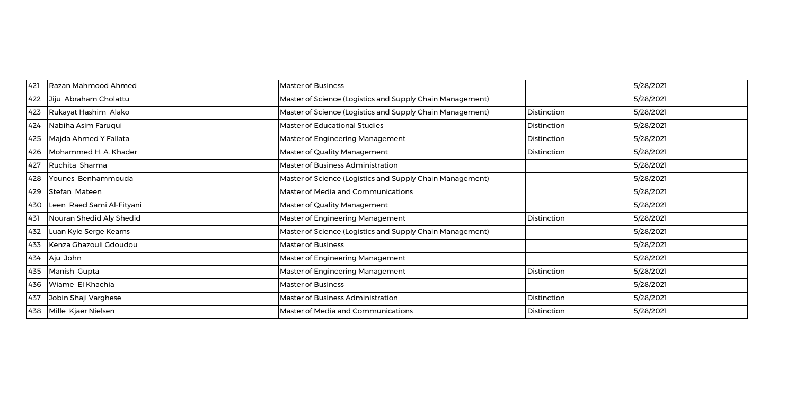| 421 | Razan Mahmood Ahmed       | <b>Master of Business</b>                                 |             | 5/28/2021 |
|-----|---------------------------|-----------------------------------------------------------|-------------|-----------|
| 422 | Jiju Abraham Cholattu     | Master of Science (Logistics and Supply Chain Management) |             | 5/28/2021 |
| 423 | Rukayat Hashim Alako      | Master of Science (Logistics and Supply Chain Management) | Distinction | 5/28/2021 |
| 424 | Nabiha Asim Faruqui       | <b>Master of Educational Studies</b>                      | Distinction | 5/28/2021 |
| 425 | Majda Ahmed Y Fallata     | Master of Engineering Management                          | Distinction | 5/28/2021 |
| 426 | Mohammed H. A. Khader     | Master of Quality Management                              | Distinction | 5/28/2021 |
| 427 | Ruchita Sharma            | <b>Master of Business Administration</b>                  |             | 5/28/2021 |
| 428 | Younes Benhammouda        | Master of Science (Logistics and Supply Chain Management) |             | 5/28/2021 |
| 429 | Stefan Mateen             | Master of Media and Communications                        |             | 5/28/2021 |
| 430 | Leen Raed Sami Al-Fityani | Master of Quality Management                              |             | 5/28/2021 |
| 431 | Nouran Shedid Aly Shedid  | Master of Engineering Management                          | Distinction | 5/28/2021 |
| 432 | Luan Kyle Serge Kearns    | Master of Science (Logistics and Supply Chain Management) |             | 5/28/2021 |
| 433 | Kenza Ghazouli Gdoudou    | <b>Master of Business</b>                                 |             | 5/28/2021 |
| 434 | Aju John                  | Master of Engineering Management                          |             | 5/28/2021 |
| 435 | Manish Gupta              | Master of Engineering Management                          | Distinction | 5/28/2021 |
| 436 | Wiame El Khachia          | <b>Master of Business</b>                                 |             | 5/28/2021 |
| 437 | Jobin Shaji Varghese      | Master of Business Administration                         | Distinction | 5/28/2021 |
| 438 | Mille Kjaer Nielsen       | Master of Media and Communications                        | Distinction | 5/28/2021 |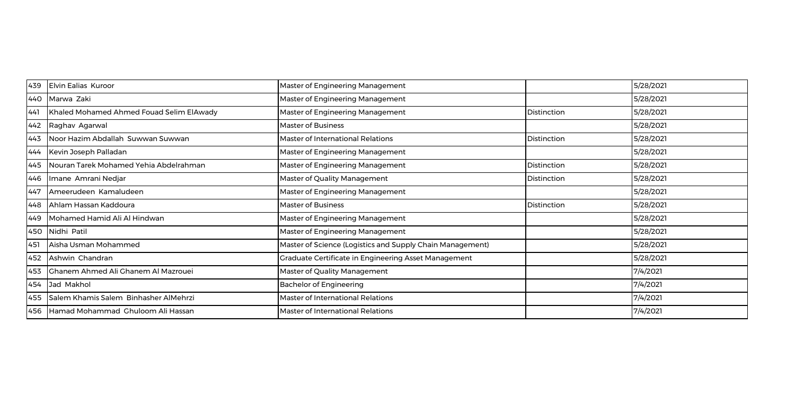| 439 | Elvin Ealias Kuroor                        | Master of Engineering Management                          |             | 5/28/2021 |
|-----|--------------------------------------------|-----------------------------------------------------------|-------------|-----------|
| 440 | Marwa Zaki                                 | Master of Engineering Management                          |             | 5/28/2021 |
| 441 | Khaled Mohamed Ahmed Fouad Selim ElAwady   | Master of Engineering Management                          | Distinction | 5/28/2021 |
| 442 | Raghav Agarwal                             | <b>Master of Business</b>                                 |             | 5/28/2021 |
| 443 | Noor Hazim Abdallah Suwwan Suwwan          | Master of International Relations                         | Distinction | 5/28/2021 |
| 444 | Kevin Joseph Palladan                      | Master of Engineering Management                          |             | 5/28/2021 |
| 445 | Nouran Tarek Mohamed Yehia Abdelrahman     | Master of Engineering Management                          | Distinction | 5/28/2021 |
| 446 | Imane Amrani Nedjar                        | Master of Quality Management                              | Distinction | 5/28/2021 |
| 447 | Ameerudeen Kamaludeen                      | Master of Engineering Management                          |             | 5/28/2021 |
| 448 | Ahlam Hassan Kaddoura                      | <b>Master of Business</b>                                 | Distinction | 5/28/2021 |
| 449 | Mohamed Hamid Ali Al Hindwan               | Master of Engineering Management                          |             | 5/28/2021 |
| 450 | Nidhi Patil                                | Master of Engineering Management                          |             | 5/28/2021 |
| 451 | Aisha Usman Mohammed                       | Master of Science (Logistics and Supply Chain Management) |             | 5/28/2021 |
| 452 | Ashwin Chandran                            | Graduate Certificate in Engineering Asset Management      |             | 5/28/2021 |
| 453 | <b>Chanem Ahmed Ali Ghanem Al Mazrouei</b> | Master of Quality Management                              |             | 7/4/2021  |
| 454 | Jad Makhol                                 | <b>Bachelor of Engineering</b>                            |             | 7/4/2021  |
| 455 | Salem Khamis Salem Binhasher AlMehrzi      | Master of International Relations                         |             | 7/4/2021  |
| 456 | Hamad Mohammad Chuloom Ali Hassan          | Master of International Relations                         |             | 7/4/2021  |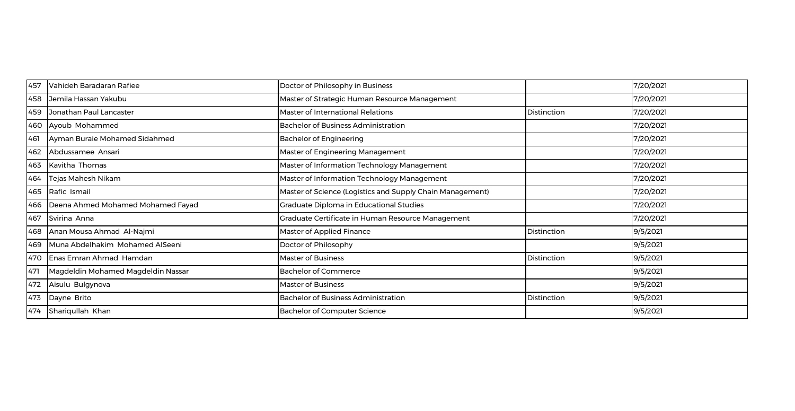| 457 | Vahideh Baradaran Rafiee           | Doctor of Philosophy in Business                          |                    | 7/20/2021 |
|-----|------------------------------------|-----------------------------------------------------------|--------------------|-----------|
| 458 | Jemila Hassan Yakubu               | Master of Strategic Human Resource Management             |                    | 7/20/2021 |
| 459 | Jonathan Paul Lancaster            | Master of International Relations                         | <b>Distinction</b> | 7/20/2021 |
| 460 | Ayoub Mohammed                     | <b>Bachelor of Business Administration</b>                |                    | 7/20/2021 |
| 461 | Ayman Buraie Mohamed Sidahmed      | <b>Bachelor of Engineering</b>                            |                    | 7/20/2021 |
| 462 | Abdussamee Ansari                  | Master of Engineering Management                          |                    | 7/20/2021 |
| 463 | Kavitha Thomas                     | Master of Information Technology Management               |                    | 7/20/2021 |
| 464 | Tejas Mahesh Nikam                 | Master of Information Technology Management               |                    | 7/20/2021 |
| 465 | Rafic Ismail                       | Master of Science (Logistics and Supply Chain Management) |                    | 7/20/2021 |
| 466 | Deena Ahmed Mohamed Mohamed Fayad  | Graduate Diploma in Educational Studies                   |                    | 7/20/2021 |
| 467 | Svirina Anna                       | Graduate Certificate in Human Resource Management         |                    | 7/20/2021 |
| 468 | Anan Mousa Ahmad Al-Najmi          | <b>Master of Applied Finance</b>                          | Distinction        | 9/5/2021  |
| 469 | Muna Abdelhakim Mohamed AlSeeni    | Doctor of Philosophy                                      |                    | 9/5/2021  |
| 470 | Enas Emran Ahmad Hamdan            | <b>Master of Business</b>                                 | Distinction        | 9/5/2021  |
| 471 | Magdeldin Mohamed Magdeldin Nassar | <b>Bachelor of Commerce</b>                               |                    | 9/5/2021  |
| 472 | Aisulu Bulgynova                   | <b>Master of Business</b>                                 |                    | 9/5/2021  |
| 473 | Dayne Brito                        | <b>Bachelor of Business Administration</b>                | Distinction        | 9/5/2021  |
| 474 | Shariqullah Khan                   | <b>Bachelor of Computer Science</b>                       |                    | 9/5/2021  |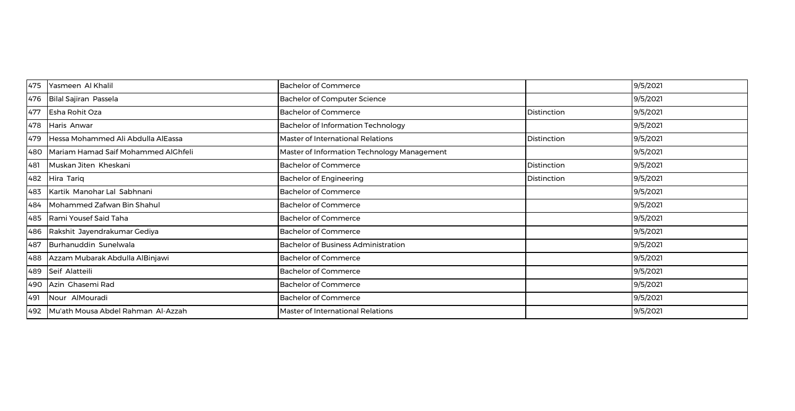| 475 | Yasmeen Al Khalil                   | <b>Bachelor of Commerce</b>                 |             | 9/5/2021 |
|-----|-------------------------------------|---------------------------------------------|-------------|----------|
| 476 | Bilal Sajiran Passela               | <b>Bachelor of Computer Science</b>         |             | 9/5/2021 |
| 477 | Esha Rohit Oza                      | <b>Bachelor of Commerce</b>                 | Distinction | 9/5/2021 |
| 478 | Haris Anwar                         | <b>Bachelor of Information Technology</b>   |             | 9/5/2021 |
| 479 | Hessa Mohammed Ali Abdulla AlEassa  | Master of International Relations           | Distinction | 9/5/2021 |
| 480 | Mariam Hamad Saif Mohammed AlGhfeli | Master of Information Technology Management |             | 9/5/2021 |
| 481 | Muskan Jiten Kheskani               | <b>Bachelor of Commerce</b>                 | Distinction | 9/5/2021 |
| 482 | Hira Tariq                          | <b>Bachelor of Engineering</b>              | Distinction | 9/5/2021 |
| 483 | Kartik Manohar Lal Sabhnani         | <b>Bachelor of Commerce</b>                 |             | 9/5/2021 |
| 484 | Mohammed Zafwan Bin Shahul          | <b>Bachelor of Commerce</b>                 |             | 9/5/2021 |
| 485 | Rami Yousef Said Taha               | <b>Bachelor of Commerce</b>                 |             | 9/5/2021 |
| 486 | Rakshit Jayendrakumar Gediya        | <b>Bachelor of Commerce</b>                 |             | 9/5/2021 |
| 487 | Burhanuddin Sunelwala               | Bachelor of Business Administration         |             | 9/5/2021 |
| 488 | Azzam Mubarak Abdulla AlBinjawi     | <b>Bachelor of Commerce</b>                 |             | 9/5/2021 |
| 489 | Seif Alatteili                      | <b>Bachelor of Commerce</b>                 |             | 9/5/2021 |
| 490 | Azin Ghasemi Rad                    | <b>Bachelor of Commerce</b>                 |             | 9/5/2021 |
| 491 | Nour AlMouradi                      | <b>Bachelor of Commerce</b>                 |             | 9/5/2021 |
| 492 | Mu'ath Mousa Abdel Rahman Al-Azzah  | Master of International Relations           |             | 9/5/2021 |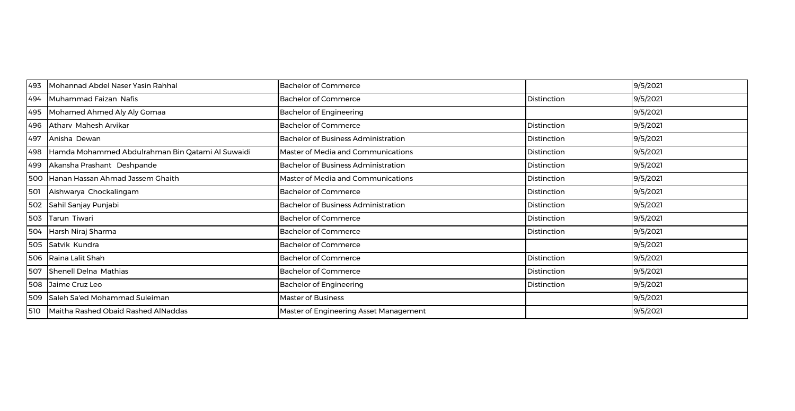| 493 | Mohannad Abdel Naser Yasin Rahhal                | <b>Bachelor of Commerce</b>                |                    | 9/5/2021 |
|-----|--------------------------------------------------|--------------------------------------------|--------------------|----------|
| 494 | Muhammad Faizan Nafis                            | <b>Bachelor of Commerce</b>                | Distinction        | 9/5/2021 |
| 495 | Mohamed Ahmed Aly Aly Gomaa                      | <b>Bachelor of Engineering</b>             |                    | 9/5/2021 |
| 496 | Athary Mahesh Arvikar                            | <b>Bachelor of Commerce</b>                | Distinction        | 9/5/2021 |
| 497 | Anisha Dewan                                     | <b>Bachelor of Business Administration</b> | Distinction        | 9/5/2021 |
| 498 | Hamda Mohammed Abdulrahman Bin Qatami Al Suwaidi | Master of Media and Communications         | Distinction        | 9/5/2021 |
| 499 | Akansha Prashant Deshpande                       | <b>Bachelor of Business Administration</b> | Distinction        | 9/5/2021 |
| 500 | Hanan Hassan Ahmad Jassem Ghaith                 | Master of Media and Communications         | Distinction        | 9/5/2021 |
| 501 | Aishwarya Chockalingam                           | <b>Bachelor of Commerce</b>                | Distinction        | 9/5/2021 |
| 502 | Sahil Sanjay Punjabi                             | <b>Bachelor of Business Administration</b> | <b>Distinction</b> | 9/5/2021 |
| 503 | Tarun Tiwari                                     | <b>Bachelor of Commerce</b>                | Distinction        | 9/5/2021 |
| 504 | Harsh Niraj Sharma                               | <b>Bachelor of Commerce</b>                | Distinction        | 9/5/2021 |
|     | 505 Satvik Kundra                                | <b>Bachelor of Commerce</b>                |                    | 9/5/2021 |
|     | 506 Raina Lalit Shah                             | <b>Bachelor of Commerce</b>                | Distinction        | 9/5/2021 |
|     | 507 Shenell Delna Mathias                        | <b>Bachelor of Commerce</b>                | Distinction        | 9/5/2021 |
| 508 | Jaime Cruz Leo                                   | <b>Bachelor of Engineering</b>             | Distinction        | 9/5/2021 |
| 509 | Saleh Sa'ed Mohammad Suleiman                    | <b>Master of Business</b>                  |                    | 9/5/2021 |
| 510 | Maitha Rashed Obaid Rashed AlNaddas              | Master of Engineering Asset Management     |                    | 9/5/2021 |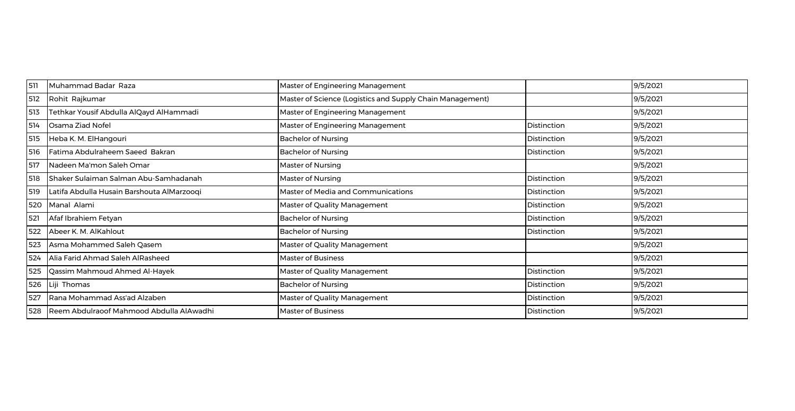| 511 | Muhammad Badar Raza                        | Master of Engineering Management                          |             | 9/5/2021 |
|-----|--------------------------------------------|-----------------------------------------------------------|-------------|----------|
| 512 | Rohit Rajkumar                             | Master of Science (Logistics and Supply Chain Management) |             | 9/5/2021 |
| 513 | Tethkar Yousif Abdulla AlQayd AlHammadi    | Master of Engineering Management                          |             | 9/5/2021 |
| 514 | Osama Ziad Nofel                           | Master of Engineering Management                          | Distinction | 9/5/2021 |
| 515 | Heba K. M. ElHangouri                      | <b>Bachelor of Nursing</b>                                | Distinction | 9/5/2021 |
| 516 | Fatima Abdulraheem Saeed Bakran            | <b>Bachelor of Nursing</b>                                | Distinction | 9/5/2021 |
| 517 | Nadeen Ma'mon Saleh Omar                   | Master of Nursing                                         |             | 9/5/2021 |
| 518 | Shaker Sulaiman Salman Abu-Samhadanah      | Master of Nursing                                         | Distinction | 9/5/2021 |
| 519 | Latifa Abdulla Husain Barshouta AlMarzooqi | Master of Media and Communications                        | Distinction | 9/5/2021 |
| 520 | Manal Alami                                | Master of Quality Management                              | Distinction | 9/5/2021 |
| 521 | Afaf Ibrahiem Fetyan                       | <b>Bachelor of Nursing</b>                                | Distinction | 9/5/2021 |
| 522 | Abeer K. M. AlKahlout                      | <b>Bachelor of Nursing</b>                                | Distinction | 9/5/2021 |
| 523 | Asma Mohammed Saleh Qasem                  | Master of Quality Management                              |             | 9/5/2021 |
| 524 | Alia Farid Ahmad Saleh AlRasheed           | <b>Master of Business</b>                                 |             | 9/5/2021 |
| 525 | Qassim Mahmoud Ahmed Al-Hayek              | Master of Quality Management                              | Distinction | 9/5/2021 |
| 526 | Liji Thomas                                | <b>Bachelor of Nursing</b>                                | Distinction | 9/5/2021 |
| 527 | Rana Mohammad Ass'ad Alzaben               | Master of Quality Management                              | Distinction | 9/5/2021 |
| 528 | Reem Abdulraoof Mahmood Abdulla AlAwadhi   | <b>Master of Business</b>                                 | Distinction | 9/5/2021 |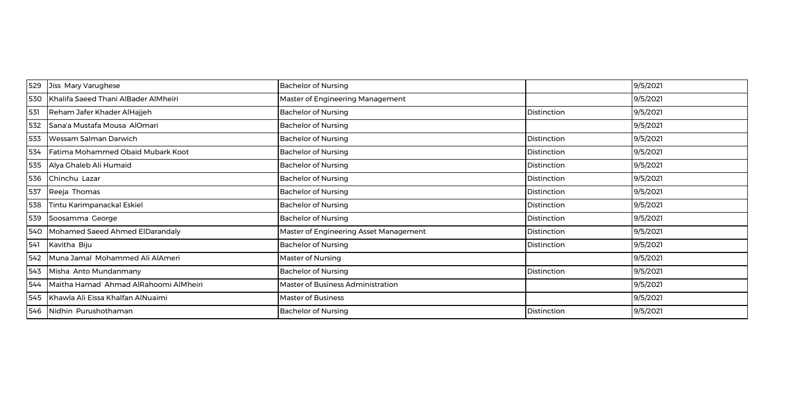| 529 | Jiss Mary Varughese                   | <b>Bachelor of Nursing</b>             |             | 9/5/2021 |
|-----|---------------------------------------|----------------------------------------|-------------|----------|
| 530 | Khalifa Saeed Thani AlBader AlMheiri  | Master of Engineering Management       |             | 9/5/2021 |
| 531 | Reham Jafer Khader AlHajjeh           | <b>Bachelor of Nursing</b>             | Distinction | 9/5/2021 |
| 532 | Sana'a Mustafa Mousa AlOmari          | <b>Bachelor of Nursing</b>             |             | 9/5/2021 |
| 533 | Wessam Salman Darwich                 | <b>Bachelor of Nursing</b>             | Distinction | 9/5/2021 |
| 534 | Fatima Mohammed Obaid Mubark Koot     | <b>Bachelor of Nursing</b>             | Distinction | 9/5/2021 |
| 535 | Alya Ghaleb Ali Humaid                | <b>Bachelor of Nursing</b>             | Distinction | 9/5/2021 |
| 536 | Chinchu Lazar                         | <b>Bachelor of Nursing</b>             | Distinction | 9/5/2021 |
| 537 | Reeja Thomas                          | <b>Bachelor of Nursing</b>             | Distinction | 9/5/2021 |
| 538 | Tintu Karimpanackal Eskiel            | <b>Bachelor of Nursing</b>             | Distinction | 9/5/2021 |
| 539 | Soosamma George                       | <b>Bachelor of Nursing</b>             | Distinction | 9/5/2021 |
| 540 | Mohamed Saeed Ahmed ElDarandaly       | Master of Engineering Asset Management | Distinction | 9/5/2021 |
| 541 | Kavitha Biju                          | <b>Bachelor of Nursing</b>             | Distinction | 9/5/2021 |
| 542 | Muna Jamal Mohammed Ali AlAmeri       | Master of Nursing                      |             | 9/5/2021 |
| 543 | Misha Anto Mundanmany                 | <b>Bachelor of Nursing</b>             | Distinction | 9/5/2021 |
| 544 | Maitha Hamad Ahmad AlRahoomi AlMheiri | Master of Business Administration      |             | 9/5/2021 |
| 545 | Khawla Ali Eissa Khalfan AlNuaimi     | <b>Master of Business</b>              |             | 9/5/2021 |
| 546 | Nidhin Purushothaman                  | <b>Bachelor of Nursing</b>             | Distinction | 9/5/2021 |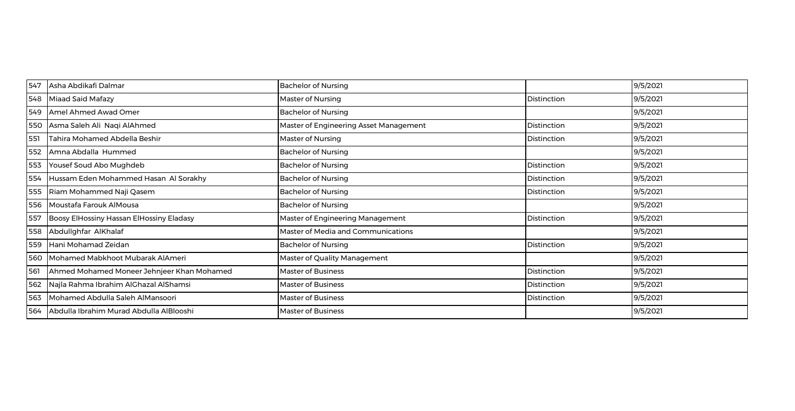| 547 | Asha Abdikafi Dalmar                       | <b>Bachelor of Nursing</b>             |                    | 9/5/2021 |
|-----|--------------------------------------------|----------------------------------------|--------------------|----------|
| 548 | Miaad Said Mafazy                          | Master of Nursing                      | <b>Distinction</b> | 9/5/2021 |
| 549 | <b>Amel Ahmed Awad Omer</b>                | <b>Bachelor of Nursing</b>             |                    | 9/5/2021 |
|     | 550 Asma Saleh Ali Naqi AlAhmed            | Master of Engineering Asset Management | Distinction        | 9/5/2021 |
| 551 | Tahira Mohamed Abdella Beshir              | Master of Nursing                      | Distinction        | 9/5/2021 |
| 552 | Amna Abdalla Hummed                        | <b>Bachelor of Nursing</b>             |                    | 9/5/2021 |
| 553 | Yousef Soud Abo Mughdeb                    | <b>Bachelor of Nursing</b>             | Distinction        | 9/5/2021 |
| 554 | Hussam Eden Mohammed Hasan Al Sorakhy      | <b>Bachelor of Nursing</b>             | Distinction        | 9/5/2021 |
| 555 | Riam Mohammed Naji Qasem                   | <b>Bachelor of Nursing</b>             | Distinction        | 9/5/2021 |
| 556 | Moustafa Farouk AlMousa                    | <b>Bachelor of Nursing</b>             |                    | 9/5/2021 |
| 557 | Boosy ElHossiny Hassan ElHossiny Eladasy   | Master of Engineering Management       | Distinction        | 9/5/2021 |
| 558 | Abdullghfar AlKhalaf                       | Master of Media and Communications     |                    | 9/5/2021 |
| 559 | Hani Mohamad Zeidan                        | <b>Bachelor of Nursing</b>             | Distinction        | 9/5/2021 |
| 560 | Mohamed Mabkhoot Mubarak AlAmeri           | Master of Quality Management           |                    | 9/5/2021 |
| 561 | Ahmed Mohamed Moneer Jehnjeer Khan Mohamed | <b>Master of Business</b>              | Distinction        | 9/5/2021 |
| 562 | Najla Rahma Ibrahim AlGhazal AlShamsi      | <b>Master of Business</b>              | Distinction        | 9/5/2021 |
| 563 | Mohamed Abdulla Saleh AlMansoori           | <b>Master of Business</b>              | Distinction        | 9/5/2021 |
| 564 | Abdulla Ibrahim Murad Abdulla AlBlooshi    | <b>Master of Business</b>              |                    | 9/5/2021 |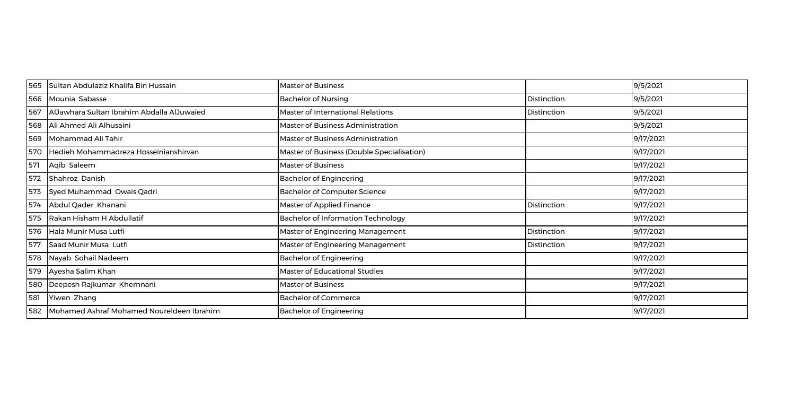| 565 | Sultan Abdulaziz Khalifa Bin Hussain       | <b>Master of Business</b>                  |             | 9/5/2021  |
|-----|--------------------------------------------|--------------------------------------------|-------------|-----------|
| 566 | Mounia Sabasse                             | <b>Bachelor of Nursing</b>                 | Distinction | 9/5/2021  |
| 567 | AlJawhara Sultan Ibrahim Abdalla AlJuwaied | Master of International Relations          | Distinction | 9/5/2021  |
| 568 | Ali Ahmed Ali Alhusaini                    | Master of Business Administration          |             | 9/5/2021  |
| 569 | Mohammad Ali Tahir                         | Master of Business Administration          |             | 9/17/2021 |
| 570 | Hedieh Mohammadreza Hosseinianshirvan      | Master of Business (Double Specialisation) |             | 9/17/2021 |
| 571 | Aqib Saleem                                | <b>Master of Business</b>                  |             | 9/17/2021 |
| 572 | Shahroz Danish                             | <b>Bachelor of Engineering</b>             |             | 9/17/2021 |
| 573 | Syed Muhammad Owais Qadri                  | Bachelor of Computer Science               |             | 9/17/2021 |
| 574 | Abdul Qader Khanani                        | Master of Applied Finance                  | Distinction | 9/17/2021 |
| 575 | Rakan Hisham H Abdullatif                  | <b>Bachelor of Information Technology</b>  |             | 9/17/2021 |
| 576 | Hala Munir Musa Lutfi                      | Master of Engineering Management           | Distinction | 9/17/2021 |
| 577 | Saad Munir Musa Lutfi                      | Master of Engineering Management           | Distinction | 9/17/2021 |
| 578 | Nayab Sohail Nadeem                        | <b>Bachelor of Engineering</b>             |             | 9/17/2021 |
| 579 | Ayesha Salim Khan                          | Master of Educational Studies              |             | 9/17/2021 |
| 580 | Deepesh Rajkumar Khemnani                  | <b>Master of Business</b>                  |             | 9/17/2021 |
| 581 | Yiwen Zhang                                | <b>Bachelor of Commerce</b>                |             | 9/17/2021 |
| 582 | Mohamed Ashraf Mohamed Noureldeen Ibrahim  | <b>Bachelor of Engineering</b>             |             | 9/17/2021 |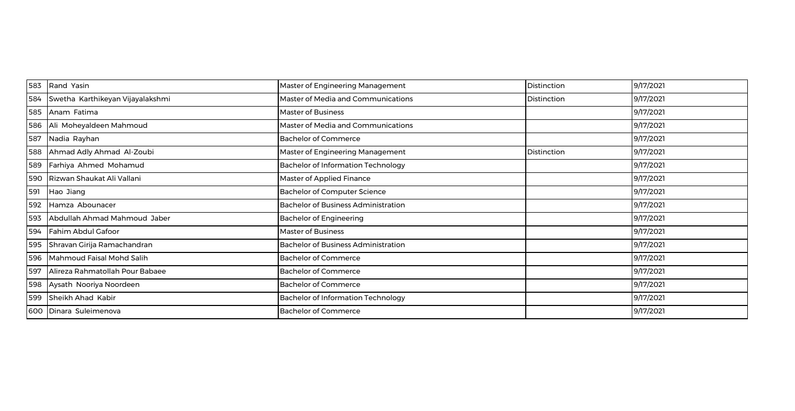| 583 | Rand Yasin                       | Master of Engineering Management           | Distinction | 9/17/2021 |
|-----|----------------------------------|--------------------------------------------|-------------|-----------|
| 584 | Swetha Karthikeyan Vijayalakshmi | Master of Media and Communications         | Distinction | 9/17/2021 |
| 585 | Anam Fatima                      | <b>Master of Business</b>                  |             | 9/17/2021 |
| 586 | Ali Moheyaldeen Mahmoud          | Master of Media and Communications         |             | 9/17/2021 |
| 587 | Nadia Rayhan                     | <b>Bachelor of Commerce</b>                |             | 9/17/2021 |
| 588 | Ahmad Adly Ahmad Al-Zoubi        | Master of Engineering Management           | Distinction | 9/17/2021 |
| 589 | Farhiya Ahmed Mohamud            | <b>Bachelor of Information Technology</b>  |             | 9/17/2021 |
| 590 | Rizwan Shaukat Ali Vallani       | <b>Master of Applied Finance</b>           |             | 9/17/2021 |
| 591 | Hao Jiang                        | <b>Bachelor of Computer Science</b>        |             | 9/17/2021 |
| 592 | Hamza Abounacer                  | <b>Bachelor of Business Administration</b> |             | 9/17/2021 |
| 593 | Abdullah Ahmad Mahmoud Jaber     | <b>Bachelor of Engineering</b>             |             | 9/17/2021 |
| 594 | Fahim Abdul Gafoor               | <b>Master of Business</b>                  |             | 9/17/2021 |
| 595 | Shravan Girija Ramachandran      | <b>Bachelor of Business Administration</b> |             | 9/17/2021 |
| 596 | Mahmoud Faisal Mohd Salih        | <b>Bachelor of Commerce</b>                |             | 9/17/2021 |
| 597 | Alireza Rahmatollah Pour Babaee  | <b>Bachelor of Commerce</b>                |             | 9/17/2021 |
| 598 | Aysath Nooriya Noordeen          | <b>Bachelor of Commerce</b>                |             | 9/17/2021 |
| 599 | Sheikh Ahad Kabir                | <b>Bachelor of Information Technology</b>  |             | 9/17/2021 |
| 600 | Dinara Suleimenova               | <b>Bachelor of Commerce</b>                |             | 9/17/2021 |
|     |                                  |                                            |             |           |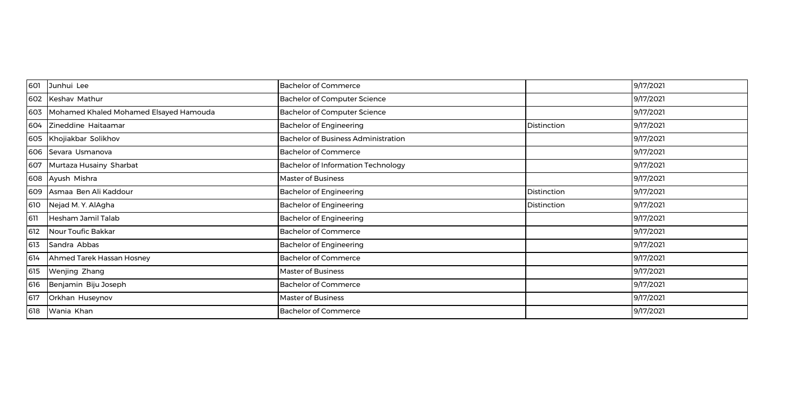| 601 | Junhui Lee                             | <b>Bachelor of Commerce</b>                |             | 9/17/2021 |
|-----|----------------------------------------|--------------------------------------------|-------------|-----------|
| 602 | Keshav Mathur                          | <b>Bachelor of Computer Science</b>        |             | 9/17/2021 |
| 603 | Mohamed Khaled Mohamed Elsayed Hamouda | <b>Bachelor of Computer Science</b>        |             | 9/17/2021 |
| 604 | Zineddine Haitaamar                    | <b>Bachelor of Engineering</b>             | Distinction | 9/17/2021 |
|     | 605 Khojiakbar Solikhov                | <b>Bachelor of Business Administration</b> |             | 9/17/2021 |
| 606 | Sevara Usmanova                        | <b>Bachelor of Commerce</b>                |             | 9/17/2021 |
| 607 | Murtaza Husainy Sharbat                | <b>Bachelor of Information Technology</b>  |             | 9/17/2021 |
|     | 608 Ayush Mishra                       | <b>Master of Business</b>                  |             | 9/17/2021 |
| 609 | Asmaa Ben Ali Kaddour                  | <b>Bachelor of Engineering</b>             | Distinction | 9/17/2021 |
| 610 | Nejad M.Y. AlAgha                      | <b>Bachelor of Engineering</b>             | Distinction | 9/17/2021 |
| 611 | Hesham Jamil Talab                     | <b>Bachelor of Engineering</b>             |             | 9/17/2021 |
| 612 | Nour Toufic Bakkar                     | <b>Bachelor of Commerce</b>                |             | 9/17/2021 |
| 613 | Sandra Abbas                           | <b>Bachelor of Engineering</b>             |             | 9/17/2021 |
| 614 | Ahmed Tarek Hassan Hosney              | <b>Bachelor of Commerce</b>                |             | 9/17/2021 |
| 615 | Wenjing Zhang                          | <b>Master of Business</b>                  |             | 9/17/2021 |
| 616 | Benjamin Biju Joseph                   | <b>Bachelor of Commerce</b>                |             | 9/17/2021 |
| 617 | Orkhan Huseynov                        | <b>Master of Business</b>                  |             | 9/17/2021 |
| 618 | Wania Khan                             | <b>Bachelor of Commerce</b>                |             | 9/17/2021 |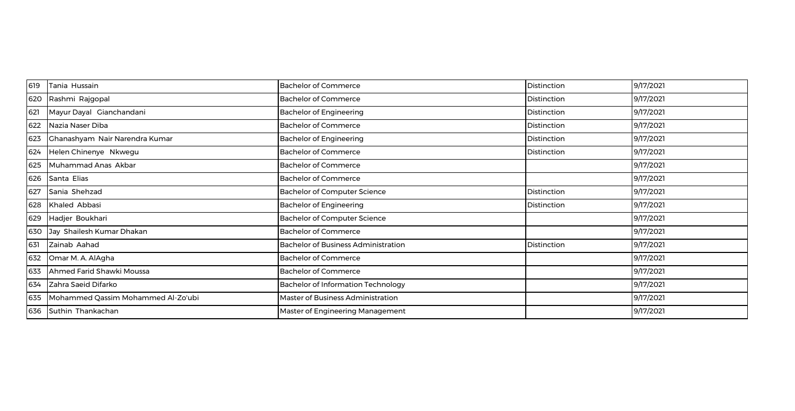| 619 | Tania Hussain                      | <b>Bachelor of Commerce</b>                | Distinction | 9/17/2021 |
|-----|------------------------------------|--------------------------------------------|-------------|-----------|
| 620 | Rashmi Rajgopal                    | <b>Bachelor of Commerce</b>                | Distinction | 9/17/2021 |
| 621 | Mayur Dayal Gianchandani           | <b>Bachelor of Engineering</b>             | Distinction | 9/17/2021 |
| 622 | Nazia Naser Diba                   | <b>Bachelor of Commerce</b>                | Distinction | 9/17/2021 |
| 623 | Ghanashyam Nair Narendra Kumar     | <b>Bachelor of Engineering</b>             | Distinction | 9/17/2021 |
| 624 | Helen Chinenye Nkwegu              | <b>Bachelor of Commerce</b>                | Distinction | 9/17/2021 |
| 625 | Muhammad Anas Akbar                | <b>Bachelor of Commerce</b>                |             | 9/17/2021 |
| 626 | Santa Elias                        | <b>Bachelor of Commerce</b>                |             | 9/17/2021 |
| 627 | Sania Shehzad                      | <b>Bachelor of Computer Science</b>        | Distinction | 9/17/2021 |
| 628 | Khaled Abbasi                      | <b>Bachelor of Engineering</b>             | Distinction | 9/17/2021 |
| 629 | Hadjer Boukhari                    | <b>Bachelor of Computer Science</b>        |             | 9/17/2021 |
| 630 | Jay Shailesh Kumar Dhakan          | <b>Bachelor of Commerce</b>                |             | 9/17/2021 |
| 631 | Zainab Aahad                       | <b>Bachelor of Business Administration</b> | Distinction | 9/17/2021 |
| 632 | Omar M. A. AlAgha                  | <b>Bachelor of Commerce</b>                |             | 9/17/2021 |
| 633 | Ahmed Farid Shawki Moussa          | <b>Bachelor of Commerce</b>                |             | 9/17/2021 |
| 634 | Zahra Saeid Difarko                | <b>Bachelor of Information Technology</b>  |             | 9/17/2021 |
| 635 | Mohammed Qassim Mohammed Al-Zo'ubi | Master of Business Administration          |             | 9/17/2021 |
| 636 | Suthin Thankachan                  | Master of Engineering Management           |             | 9/17/2021 |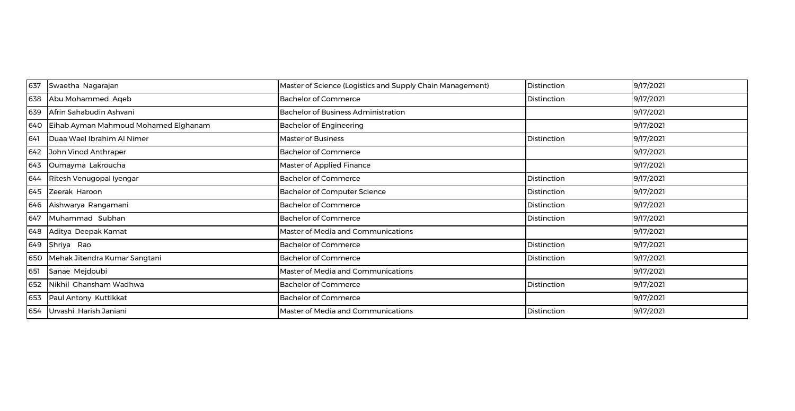| 637 | Swaetha Nagarajan                    | Master of Science (Logistics and Supply Chain Management) | Distinction | 9/17/2021 |
|-----|--------------------------------------|-----------------------------------------------------------|-------------|-----------|
| 638 | Abu Mohammed Aqeb                    | <b>Bachelor of Commerce</b>                               | Distinction | 9/17/2021 |
| 639 | Afrin Sahabudin Ashvani              | <b>Bachelor of Business Administration</b>                |             | 9/17/2021 |
| 640 | Eihab Ayman Mahmoud Mohamed Elghanam | <b>Bachelor of Engineering</b>                            |             | 9/17/2021 |
| 641 | Duaa Wael Ibrahim Al Nimer           | <b>Master of Business</b>                                 | Distinction | 9/17/2021 |
| 642 | John Vinod Anthraper                 | <b>Bachelor of Commerce</b>                               |             | 9/17/2021 |
| 643 | Oumayma Lakroucha                    | <b>Master of Applied Finance</b>                          |             | 9/17/2021 |
| 644 | Ritesh Venugopal Iyengar             | <b>Bachelor of Commerce</b>                               | Distinction | 9/17/2021 |
| 645 | Zeerak Haroon                        | <b>Bachelor of Computer Science</b>                       | Distinction | 9/17/2021 |
| 646 | Aishwarya Rangamani                  | <b>Bachelor of Commerce</b>                               | Distinction | 9/17/2021 |
| 647 | Muhammad Subhan                      | <b>Bachelor of Commerce</b>                               | Distinction | 9/17/2021 |
| 648 | Aditya Deepak Kamat                  | Master of Media and Communications                        |             | 9/17/2021 |
| 649 | Shriya Rao                           | <b>Bachelor of Commerce</b>                               | Distinction | 9/17/2021 |
| 650 | Mehak Jitendra Kumar Sangtani        | <b>Bachelor of Commerce</b>                               | Distinction | 9/17/2021 |
| 651 | Sanae Mejdoubi                       | Master of Media and Communications                        |             | 9/17/2021 |
| 652 | Nikhil Ghansham Wadhwa               | <b>Bachelor of Commerce</b>                               | Distinction | 9/17/2021 |
| 653 | Paul Antony Kuttikkat                | <b>Bachelor of Commerce</b>                               |             | 9/17/2021 |
| 654 | Urvashi Harish Janiani               | Master of Media and Communications                        | Distinction | 9/17/2021 |
|     |                                      |                                                           |             |           |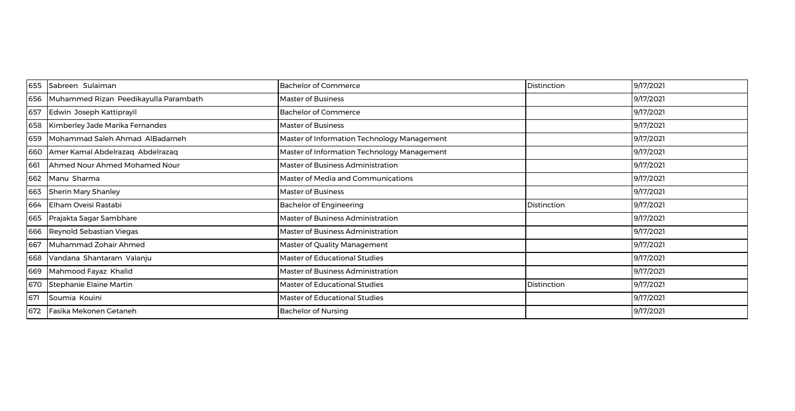| 655 | Sabreen Sulaiman                      | <b>Bachelor of Commerce</b>                 | Distinction | 9/17/2021 |
|-----|---------------------------------------|---------------------------------------------|-------------|-----------|
| 656 | Muhammed Rizan Peedikayulla Parambath | <b>Master of Business</b>                   |             | 9/17/2021 |
| 657 | Edwin Joseph Kattiprayil              | <b>Bachelor of Commerce</b>                 |             | 9/17/2021 |
| 658 | Kimberley Jade Marika Fernandes       | <b>Master of Business</b>                   |             | 9/17/2021 |
| 659 | Mohammad Saleh Ahmad AlBadarneh       | Master of Information Technology Management |             | 9/17/2021 |
| 660 | Amer Kamal Abdelrazaq Abdelrazaq      | Master of Information Technology Management |             | 9/17/2021 |
| 661 | Ahmed Nour Ahmed Mohamed Nour         | Master of Business Administration           |             | 9/17/2021 |
| 662 | Manu Sharma                           | Master of Media and Communications          |             | 9/17/2021 |
| 663 | <b>Sherin Mary Shanley</b>            | <b>Master of Business</b>                   |             | 9/17/2021 |
| 664 | Elham Oveisi Rastabi                  | <b>Bachelor of Engineering</b>              | Distinction | 9/17/2021 |
| 665 | Prajakta Sagar Sambhare               | <b>Master of Business Administration</b>    |             | 9/17/2021 |
| 666 | Reynold Sebastian Viegas              | Master of Business Administration           |             | 9/17/2021 |
| 667 | Muhammad Zohair Ahmed                 | Master of Quality Management                |             | 9/17/2021 |
| 668 | Vandana Shantaram Valanju             | <b>Master of Educational Studies</b>        |             | 9/17/2021 |
| 669 | Mahmood Fayaz Khalid                  | Master of Business Administration           |             | 9/17/2021 |
| 670 | Stephanie Elaine Martin               | Master of Educational Studies               | Distinction | 9/17/2021 |
| 671 | Soumia Kouini                         | Master of Educational Studies               |             | 9/17/2021 |
| 672 | Fasika Mekonen Getaneh                | <b>Bachelor of Nursing</b>                  |             | 9/17/2021 |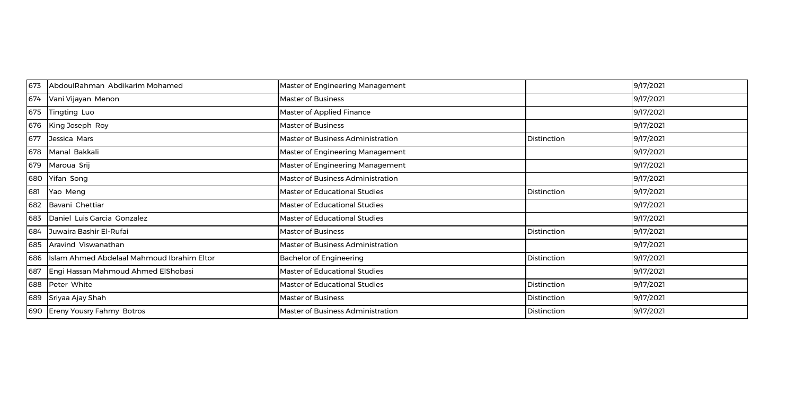| 673 | AbdoulRahman Abdikarim Mohamed             | Master of Engineering Management  |             | 9/17/2021 |
|-----|--------------------------------------------|-----------------------------------|-------------|-----------|
| 674 | Vani Vijayan Menon                         | <b>Master of Business</b>         |             | 9/17/2021 |
| 675 | <b>Tingting Luo</b>                        | Master of Applied Finance         |             | 9/17/2021 |
| 676 | King Joseph Roy                            | <b>Master of Business</b>         |             | 9/17/2021 |
| 677 | Jessica Mars                               | Master of Business Administration | Distinction | 9/17/2021 |
| 678 | Manal Bakkali                              | Master of Engineering Management  |             | 9/17/2021 |
| 679 | Maroua Srij                                | Master of Engineering Management  |             | 9/17/2021 |
| 680 | Yifan Song                                 | Master of Business Administration |             | 9/17/2021 |
| 681 | Yao Meng                                   | Master of Educational Studies     | Distinction | 9/17/2021 |
| 682 | Bavani Chettiar                            | Master of Educational Studies     |             | 9/17/2021 |
| 683 | Daniel Luis Garcia Gonzalez                | Master of Educational Studies     |             | 9/17/2021 |
| 684 | Juwaira Bashir El-Rufai                    | <b>Master of Business</b>         | Distinction | 9/17/2021 |
| 685 | Aravind Viswanathan                        | Master of Business Administration |             | 9/17/2021 |
| 686 | Islam Ahmed Abdelaal Mahmoud Ibrahim Eltor | <b>Bachelor of Engineering</b>    | Distinction | 9/17/2021 |
| 687 | Engi Hassan Mahmoud Ahmed ElShobasi        | Master of Educational Studies     |             | 9/17/2021 |
| 688 | Peter White                                | Master of Educational Studies     | Distinction | 9/17/2021 |
| 689 | Sriyaa Ajay Shah                           | <b>Master of Business</b>         | Distinction | 9/17/2021 |
| 690 | <b>Ereny Yousry Fahmy Botros</b>           | Master of Business Administration | Distinction | 9/17/2021 |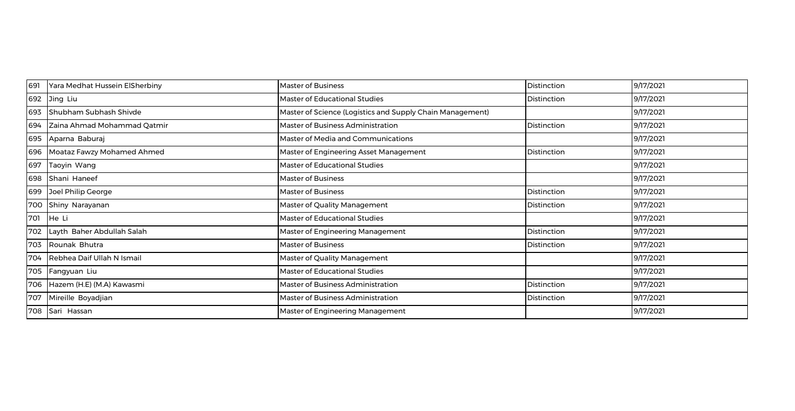| 691 | Yara Medhat Hussein ElSherbiny | <b>Master of Business</b>                                 | Distinction | 9/17/2021 |
|-----|--------------------------------|-----------------------------------------------------------|-------------|-----------|
| 692 | Jing Liu                       | Master of Educational Studies                             | Distinction | 9/17/2021 |
| 693 | Shubham Subhash Shivde         | Master of Science (Logistics and Supply Chain Management) |             | 9/17/2021 |
| 694 | Zaina Ahmad Mohammad Qatmir    | Master of Business Administration                         | Distinction | 9/17/2021 |
| 695 | Aparna Baburaj                 | Master of Media and Communications                        |             | 9/17/2021 |
| 696 | Moataz Fawzy Mohamed Ahmed     | Master of Engineering Asset Management                    | Distinction | 9/17/2021 |
| 697 | Taoyin Wang                    | <b>Master of Educational Studies</b>                      |             | 9/17/2021 |
| 698 | Shani Haneef                   | <b>Master of Business</b>                                 |             | 9/17/2021 |
| 699 | Joel Philip George             | <b>Master of Business</b>                                 | Distinction | 9/17/2021 |
| 700 | Shiny Narayanan                | Master of Quality Management                              | Distinction | 9/17/2021 |
| 701 | He Li                          | Master of Educational Studies                             |             | 9/17/2021 |
| 702 | Layth Baher Abdullah Salah     | Master of Engineering Management                          | Distinction | 9/17/2021 |
| 703 | Rounak Bhutra                  | <b>Master of Business</b>                                 | Distinction | 9/17/2021 |
| 704 | Rebhea Daif Ullah N Ismail     | Master of Quality Management                              |             | 9/17/2021 |
| 705 | Fangyuan Liu                   | <b>Master of Educational Studies</b>                      |             | 9/17/2021 |
| 706 | Hazem (H.E) (M.A) Kawasmi      | Master of Business Administration                         | Distinction | 9/17/2021 |
| 707 | Mireille Boyadjian             | <b>Master of Business Administration</b>                  | Distinction | 9/17/2021 |
| 708 | Sari Hassan                    | <b>Master of Engineering Management</b>                   |             | 9/17/2021 |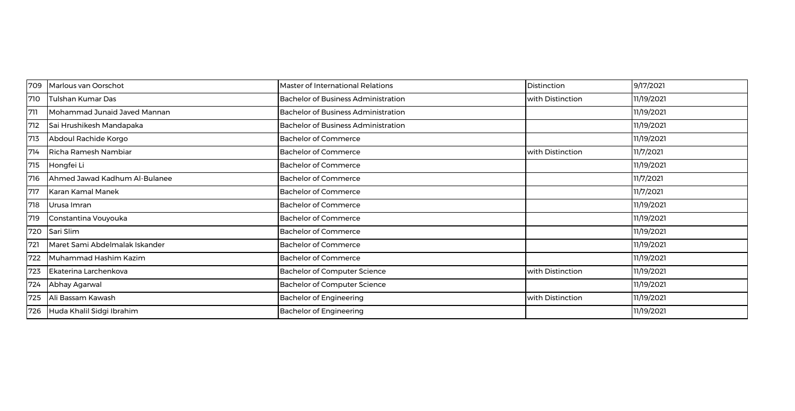| 709 | Marlous van Oorschot           | Master of International Relations          | Distinction      | 9/17/2021  |
|-----|--------------------------------|--------------------------------------------|------------------|------------|
| 710 | Tulshan Kumar Das              | <b>Bachelor of Business Administration</b> | with Distinction | 11/19/2021 |
| 711 | Mohammad Junaid Javed Mannan   | <b>Bachelor of Business Administration</b> |                  | 11/19/2021 |
| 712 | Sai Hrushikesh Mandapaka       | <b>Bachelor of Business Administration</b> |                  | 11/19/2021 |
| 713 | Abdoul Rachide Korgo           | <b>Bachelor of Commerce</b>                |                  | 11/19/2021 |
| 714 | Richa Ramesh Nambiar           | <b>Bachelor of Commerce</b>                | with Distinction | 11/7/2021  |
| 715 | Hongfei Li                     | <b>Bachelor of Commerce</b>                |                  | 11/19/2021 |
| 716 | Ahmed Jawad Kadhum Al-Bulanee  | <b>Bachelor of Commerce</b>                |                  | 11/7/2021  |
| 717 | Karan Kamal Manek              | <b>Bachelor of Commerce</b>                |                  | 11/7/2021  |
| 718 | Urusa Imran                    | <b>Bachelor of Commerce</b>                |                  | 11/19/2021 |
| 719 | Constantina Vouyouka           | <b>Bachelor of Commerce</b>                |                  | 11/19/2021 |
| 720 | Sari Slim                      | <b>Bachelor of Commerce</b>                |                  | 11/19/2021 |
| 721 | Maret Sami Abdelmalak Iskander | <b>Bachelor of Commerce</b>                |                  | 11/19/2021 |
| 722 | Muhammad Hashim Kazim          | <b>Bachelor of Commerce</b>                |                  | 11/19/2021 |
| 723 | Ekaterina Larchenkova          | Bachelor of Computer Science               | with Distinction | 11/19/2021 |
| 724 | Abhay Agarwal                  | <b>Bachelor of Computer Science</b>        |                  | 11/19/2021 |
| 725 | Ali Bassam Kawash              | <b>Bachelor of Engineering</b>             | with Distinction | 11/19/2021 |
| 726 | Huda Khalil Sidgi Ibrahim      | <b>Bachelor of Engineering</b>             |                  | 11/19/2021 |
|     |                                |                                            |                  |            |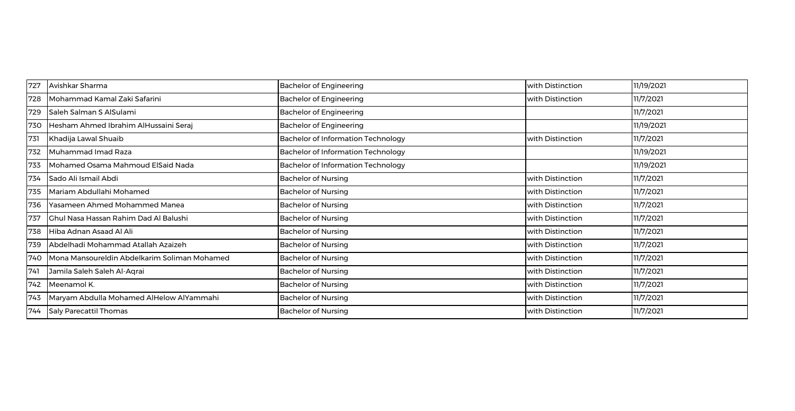| 727 | Avishkar Sharma                              | <b>Bachelor of Engineering</b>            | with Distinction | 11/19/2021 |
|-----|----------------------------------------------|-------------------------------------------|------------------|------------|
| 728 | Mohammad Kamal Zaki Safarini                 | <b>Bachelor of Engineering</b>            | with Distinction | 11/7/2021  |
| 729 | Saleh Salman S AlSulami                      | <b>Bachelor of Engineering</b>            |                  | 11/7/2021  |
| 730 | Hesham Ahmed Ibrahim AlHussaini Seraj        | <b>Bachelor of Engineering</b>            |                  | 11/19/2021 |
| 731 | Khadija Lawal Shuaib                         | <b>Bachelor of Information Technology</b> | with Distinction | 11/7/2021  |
| 732 | Muhammad Imad Raza                           | <b>Bachelor of Information Technology</b> |                  | 11/19/2021 |
| 733 | Mohamed Osama Mahmoud ElSaid Nada            | <b>Bachelor of Information Technology</b> |                  | 11/19/2021 |
| 734 | Sado Ali Ismail Abdi                         | <b>Bachelor of Nursing</b>                | with Distinction | 11/7/2021  |
| 735 | Mariam Abdullahi Mohamed                     | <b>Bachelor of Nursing</b>                | with Distinction | 11/7/2021  |
| 736 | Yasameen Ahmed Mohammed Manea                | <b>Bachelor of Nursing</b>                | with Distinction | 11/7/2021  |
| 737 | <b>Chul Nasa Hassan Rahim Dad Al Balushi</b> | <b>Bachelor of Nursing</b>                | with Distinction | 11/7/2021  |
| 738 | Hiba Adnan Asaad Al Ali                      | <b>Bachelor of Nursing</b>                | with Distinction | 11/7/2021  |
| 739 | Abdelhadi Mohammad Atallah Azaizeh           | <b>Bachelor of Nursing</b>                | with Distinction | 11/7/2021  |
| 740 | Mona Mansoureldin Abdelkarim Soliman Mohamed | <b>Bachelor of Nursing</b>                | with Distinction | 11/7/2021  |
| 741 | Jamila Saleh Saleh Al-Aqrai                  | <b>Bachelor of Nursing</b>                | with Distinction | 11/7/2021  |
| 742 | Meenamol K.                                  | <b>Bachelor of Nursing</b>                | with Distinction | 11/7/2021  |
| 743 | Maryam Abdulla Mohamed AlHelow AlYammahi     | <b>Bachelor of Nursing</b>                | with Distinction | 11/7/2021  |
| 744 | Saly Parecattil Thomas                       | <b>Bachelor of Nursing</b>                | with Distinction | 11/7/2021  |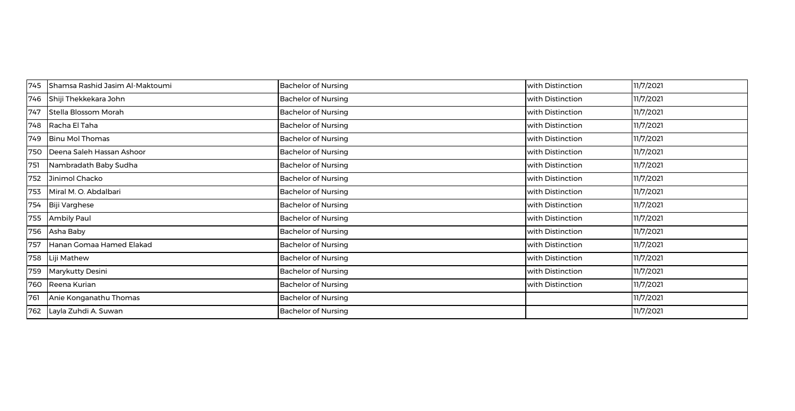| 745 | Shamsa Rashid Jasim Al-Maktoumi | <b>Bachelor of Nursing</b> | with Distinction | 11/7/2021 |
|-----|---------------------------------|----------------------------|------------------|-----------|
| 746 | Shiji Thekkekara John           | <b>Bachelor of Nursing</b> | with Distinction | 11/7/2021 |
| 747 | Stella Blossom Morah            | <b>Bachelor of Nursing</b> | with Distinction | 11/7/2021 |
| 748 | Racha El Taha                   | <b>Bachelor of Nursing</b> | with Distinction | 11/7/2021 |
| 749 | <b>Binu Mol Thomas</b>          | <b>Bachelor of Nursing</b> | with Distinction | 11/7/2021 |
| 750 | Deena Saleh Hassan Ashoor       | <b>Bachelor of Nursing</b> | with Distinction | 11/7/2021 |
| 751 | Nambradath Baby Sudha           | <b>Bachelor of Nursing</b> | with Distinction | 11/7/2021 |
| 752 | Jinimol Chacko                  | <b>Bachelor of Nursing</b> | with Distinction | 11/7/2021 |
| 753 | Miral M. O. Abdalbari           | <b>Bachelor of Nursing</b> | with Distinction | 11/7/2021 |
| 754 | Biji Varghese                   | <b>Bachelor of Nursing</b> | with Distinction | 11/7/2021 |
| 755 | <b>Ambily Paul</b>              | <b>Bachelor of Nursing</b> | with Distinction | 11/7/2021 |
| 756 | Asha Baby                       | <b>Bachelor of Nursing</b> | with Distinction | 11/7/2021 |
| 757 | Hanan Gomaa Hamed Elakad        | <b>Bachelor of Nursing</b> | with Distinction | 11/7/2021 |
| 758 | Liji Mathew                     | <b>Bachelor of Nursing</b> | with Distinction | 11/7/2021 |
| 759 | Marykutty Desini                | <b>Bachelor of Nursing</b> | with Distinction | 11/7/2021 |
| 760 | Reena Kurian                    | <b>Bachelor of Nursing</b> | with Distinction | 11/7/2021 |
| 761 | Anie Konganathu Thomas          | <b>Bachelor of Nursing</b> |                  | 11/7/2021 |
| 762 | Layla Zuhdi A. Suwan            | <b>Bachelor of Nursing</b> |                  | 11/7/2021 |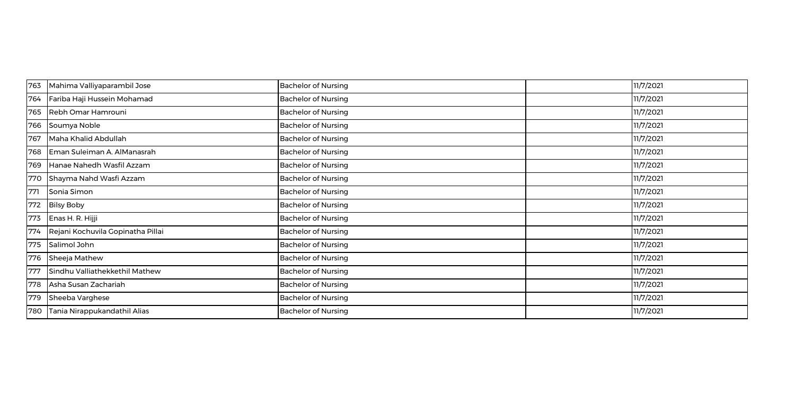| 763 | Mahima Valliyaparambil Jose       | <b>Bachelor of Nursing</b> | 11/7/2021 |
|-----|-----------------------------------|----------------------------|-----------|
| 764 | Fariba Haji Hussein Mohamad       | <b>Bachelor of Nursing</b> | 11/7/2021 |
| 765 | Rebh Omar Hamrouni                | <b>Bachelor of Nursing</b> | 11/7/2021 |
| 766 | Soumya Noble                      | <b>Bachelor of Nursing</b> | 11/7/2021 |
| 767 | Maha Khalid Abdullah              | <b>Bachelor of Nursing</b> | 11/7/2021 |
| 768 | Eman Suleiman A. AlManasrah       | <b>Bachelor of Nursing</b> | 11/7/2021 |
| 769 | Hanae Nahedh Wasfil Azzam         | <b>Bachelor of Nursing</b> | 11/7/2021 |
| 770 | Shayma Nahd Wasfi Azzam           | <b>Bachelor of Nursing</b> | 11/7/2021 |
| 771 | Sonia Simon                       | <b>Bachelor of Nursing</b> | 11/7/2021 |
| 772 | <b>Bilsy Boby</b>                 | <b>Bachelor of Nursing</b> | 11/7/2021 |
| 773 | Enas H. R. Hijji                  | <b>Bachelor of Nursing</b> | 11/7/2021 |
| 774 | Rejani Kochuvila Gopinatha Pillai | <b>Bachelor of Nursing</b> | 11/7/2021 |
| 775 | Salimol John                      | <b>Bachelor of Nursing</b> | 11/7/2021 |
| 776 | Sheeja Mathew                     | <b>Bachelor of Nursing</b> | 11/7/2021 |
| 777 | Sindhu Valliathekkethil Mathew    | <b>Bachelor of Nursing</b> | 11/7/2021 |
| 778 | Asha Susan Zachariah              | <b>Bachelor of Nursing</b> | 11/7/2021 |
| 779 | Sheeba Varghese                   | <b>Bachelor of Nursing</b> | 11/7/2021 |
| 780 | Tania Nirappukandathil Alias      | <b>Bachelor of Nursing</b> | 11/7/2021 |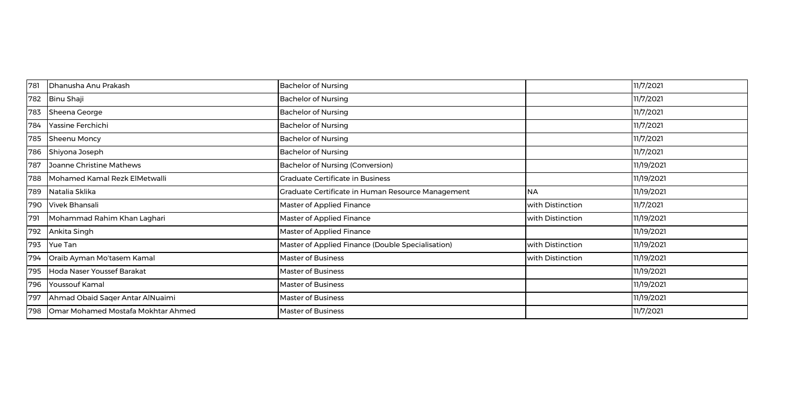| 781 | Dhanusha Anu Prakash               | <b>Bachelor of Nursing</b>                        |                  | 11/7/2021  |
|-----|------------------------------------|---------------------------------------------------|------------------|------------|
| 782 | Binu Shaji                         | <b>Bachelor of Nursing</b>                        |                  | 11/7/2021  |
| 783 | Sheena George                      | <b>Bachelor of Nursing</b>                        |                  | 11/7/2021  |
| 784 | Yassine Ferchichi                  | <b>Bachelor of Nursing</b>                        |                  | 11/7/2021  |
| 785 | Sheenu Moncy                       | <b>Bachelor of Nursing</b>                        |                  | 11/7/2021  |
| 786 | Shiyona Joseph                     | <b>Bachelor of Nursing</b>                        |                  | 11/7/2021  |
| 787 | Joanne Christine Mathews           | Bachelor of Nursing (Conversion)                  |                  | 11/19/2021 |
| 788 | Mohamed Kamal Rezk ElMetwalli      | <b>Graduate Certificate in Business</b>           |                  | 11/19/2021 |
| 789 | Natalia Sklika                     | Graduate Certificate in Human Resource Management | <b>NA</b>        | 11/19/2021 |
| 790 | Vivek Bhansali                     | <b>Master of Applied Finance</b>                  | with Distinction | 11/7/2021  |
| 791 | Mohammad Rahim Khan Laghari        | <b>Master of Applied Finance</b>                  | with Distinction | 11/19/2021 |
| 792 | Ankita Singh                       | Master of Applied Finance                         |                  | 11/19/2021 |
| 793 | Yue Tan                            | Master of Applied Finance (Double Specialisation) | with Distinction | 11/19/2021 |
| 794 | Oraib Ayman Mo'tasem Kamal         | <b>Master of Business</b>                         | with Distinction | 11/19/2021 |
| 795 | Hoda Naser Youssef Barakat         | <b>Master of Business</b>                         |                  | 11/19/2021 |
| 796 | Youssouf Kamal                     | <b>Master of Business</b>                         |                  | 11/19/2021 |
| 797 | Ahmad Obaid Saqer Antar AlNuaimi   | <b>Master of Business</b>                         |                  | 11/19/2021 |
| 798 | Omar Mohamed Mostafa Mokhtar Ahmed | <b>Master of Business</b>                         |                  | 11/7/2021  |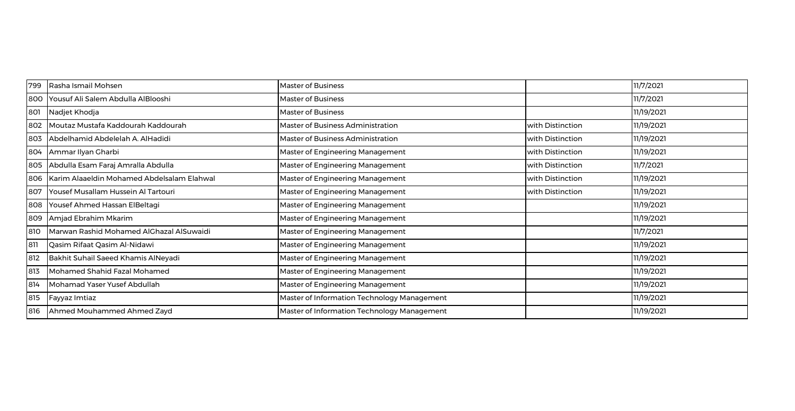| 799 | Rasha Ismail Mohsen                        | <b>Master of Business</b>                   |                  | 11/7/2021  |
|-----|--------------------------------------------|---------------------------------------------|------------------|------------|
| 800 | Yousuf Ali Salem Abdulla AlBlooshi         | <b>Master of Business</b>                   |                  | 11/7/2021  |
| 801 | Nadjet Khodja                              | <b>Master of Business</b>                   |                  | 11/19/2021 |
| 802 | Moutaz Mustafa Kaddourah Kaddourah         | Master of Business Administration           | with Distinction | 11/19/2021 |
| 803 | Abdelhamid Abdelelah A. AlHadidi           | Master of Business Administration           | with Distinction | 11/19/2021 |
| 804 | Ammar Ilyan Gharbi                         | Master of Engineering Management            | with Distinction | 11/19/2021 |
| 805 | Abdulla Esam Faraj Amralla Abdulla         | Master of Engineering Management            | with Distinction | 11/7/2021  |
| 806 | Karim Alaaeldin Mohamed Abdelsalam Elahwal | Master of Engineering Management            | with Distinction | 11/19/2021 |
| 807 | Yousef Musallam Hussein Al Tartouri        | Master of Engineering Management            | with Distinction | 11/19/2021 |
| 808 | Yousef Ahmed Hassan ElBeltagi              | Master of Engineering Management            |                  | 11/19/2021 |
| 809 | Amjad Ebrahim Mkarim                       | Master of Engineering Management            |                  | 11/19/2021 |
| 810 | Marwan Rashid Mohamed AlGhazal AlSuwaidi   | Master of Engineering Management            |                  | 11/7/2021  |
| 811 | Qasim Rifaat Qasim Al-Nidawi               | Master of Engineering Management            |                  | 11/19/2021 |
| 812 | Bakhit Suhail Saeed Khamis AlNeyadi        | Master of Engineering Management            |                  | 11/19/2021 |
| 813 | Mohamed Shahid Fazal Mohamed               | Master of Engineering Management            |                  | 11/19/2021 |
| 814 | Mohamad Yaser Yusef Abdullah               | Master of Engineering Management            |                  | 11/19/2021 |
| 815 | Fayyaz Imtiaz                              | Master of Information Technology Management |                  | 11/19/2021 |
| 816 | Ahmed Mouhammed Ahmed Zayd                 | Master of Information Technology Management |                  | 11/19/2021 |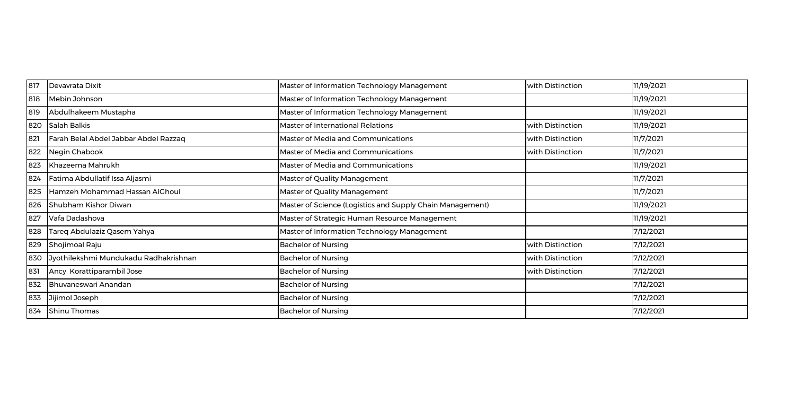| 817 | Devavrata Dixit                       | Master of Information Technology Management               | with Distinction | 11/19/2021 |
|-----|---------------------------------------|-----------------------------------------------------------|------------------|------------|
| 818 | Mebin Johnson                         | Master of Information Technology Management               |                  | 11/19/2021 |
| 819 | Abdulhakeem Mustapha                  | Master of Information Technology Management               |                  | 11/19/2021 |
| 820 | Salah Balkis                          | Master of International Relations                         | with Distinction | 11/19/2021 |
| 821 | Farah Belal Abdel Jabbar Abdel Razzaq | Master of Media and Communications                        | with Distinction | 11/7/2021  |
| 822 | Negin Chabook                         | Master of Media and Communications                        | with Distinction | 11/7/2021  |
| 823 | Khazeema Mahrukh                      | Master of Media and Communications                        |                  | 11/19/2021 |
| 824 | Fatima Abdullatif Issa Aljasmi        | Master of Quality Management                              |                  | 11/7/2021  |
| 825 | Hamzeh Mohammad Hassan AlGhoul        | Master of Quality Management                              |                  | 11/7/2021  |
| 826 | Shubham Kishor Diwan                  | Master of Science (Logistics and Supply Chain Management) |                  | 11/19/2021 |
| 827 | Vafa Dadashova                        | Master of Strategic Human Resource Management             |                  | 11/19/2021 |
| 828 | Tareq Abdulaziz Qasem Yahya           | Master of Information Technology Management               |                  | 7/12/2021  |
| 829 | Shojimoal Raju                        | <b>Bachelor of Nursing</b>                                | with Distinction | 7/12/2021  |
| 830 | Jyothilekshmi Mundukadu Radhakrishnan | <b>Bachelor of Nursing</b>                                | with Distinction | 7/12/2021  |
| 831 | Ancy Korattiparambil Jose             | <b>Bachelor of Nursing</b>                                | with Distinction | 7/12/2021  |
| 832 | Bhuvaneswari Anandan                  | <b>Bachelor of Nursing</b>                                |                  | 7/12/2021  |
| 833 | Jijimol Joseph                        | <b>Bachelor of Nursing</b>                                |                  | 7/12/2021  |
| 834 | Shinu Thomas                          | <b>Bachelor of Nursing</b>                                |                  | 7/12/2021  |